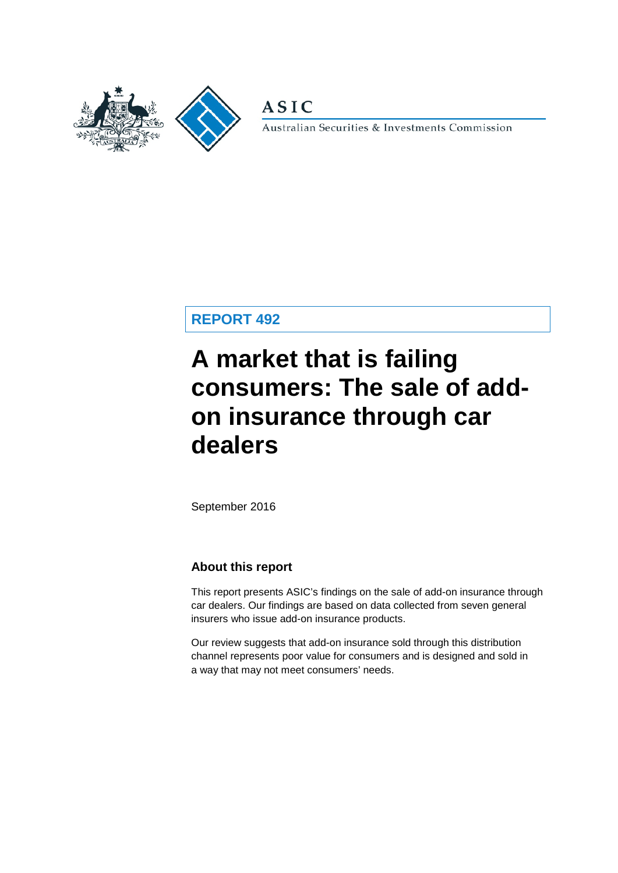

**ASIC** 

Australian Securities & Investments Commission

**REPORT 492**

# **A market that is failing consumers: The sale of addon insurance through car dealers**

September 2016

#### **About this report**

This report presents ASIC's findings on the sale of add-on insurance through car dealers. Our findings are based on data collected from seven general insurers who issue add-on insurance products.

Our review suggests that add-on insurance sold through this distribution channel represents poor value for consumers and is designed and sold in a way that may not meet consumers' needs.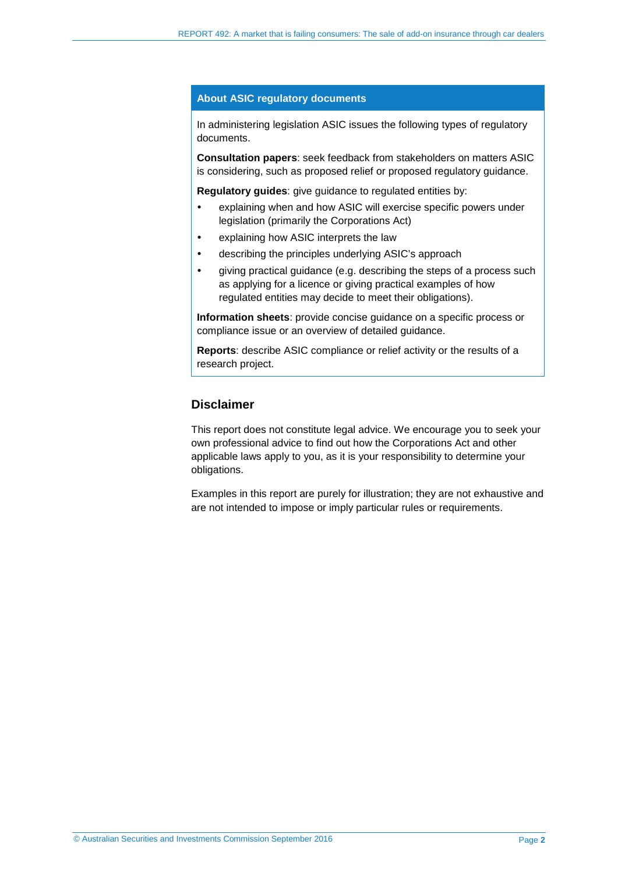#### **About ASIC regulatory documents**

In administering legislation ASIC issues the following types of regulatory documents.

**Consultation papers**: seek feedback from stakeholders on matters ASIC is considering, such as proposed relief or proposed regulatory guidance.

**Regulatory guides**: give guidance to regulated entities by:

- explaining when and how ASIC will exercise specific powers under legislation (primarily the Corporations Act)
- explaining how ASIC interprets the law
- describing the principles underlying ASIC's approach
- giving practical guidance (e.g. describing the steps of a process such as applying for a licence or giving practical examples of how regulated entities may decide to meet their obligations).

**Information sheets**: provide concise guidance on a specific process or compliance issue or an overview of detailed guidance.

**Reports**: describe ASIC compliance or relief activity or the results of a research project.

#### **Disclaimer**

This report does not constitute legal advice. We encourage you to seek your own professional advice to find out how the Corporations Act and other applicable laws apply to you, as it is your responsibility to determine your obligations.

Examples in this report are purely for illustration; they are not exhaustive and are not intended to impose or imply particular rules or requirements.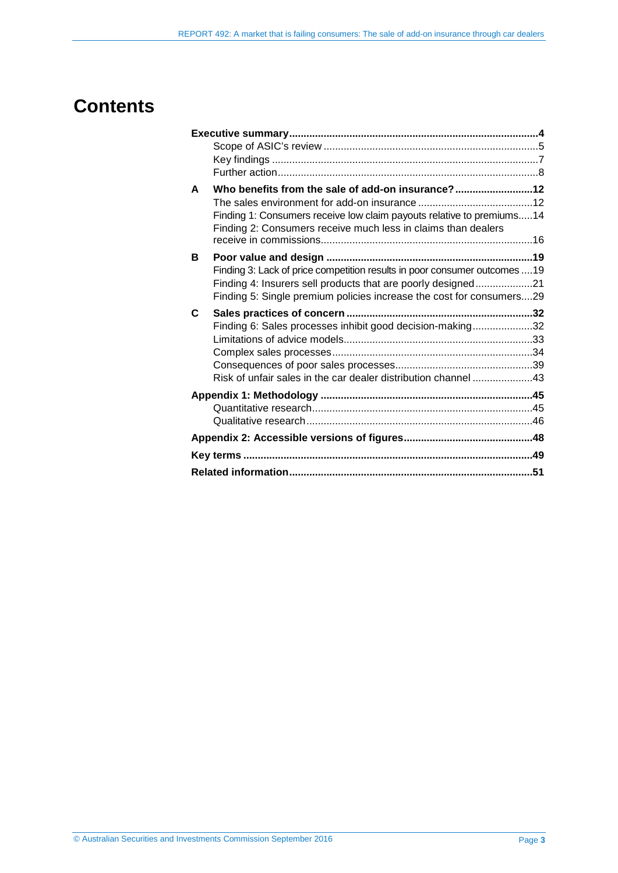## **Contents**

| A | Who benefits from the sale of add-on insurance?                            |  |
|---|----------------------------------------------------------------------------|--|
|   |                                                                            |  |
|   | Finding 1: Consumers receive low claim payouts relative to premiums 14     |  |
|   | Finding 2: Consumers receive much less in claims than dealers              |  |
|   |                                                                            |  |
| в |                                                                            |  |
|   | Finding 3: Lack of price competition results in poor consumer outcomes  19 |  |
|   | Finding 4: Insurers sell products that are poorly designed21               |  |
|   | Finding 5: Single premium policies increase the cost for consumers29       |  |
|   |                                                                            |  |
| C |                                                                            |  |
|   | Finding 6: Sales processes inhibit good decision-making32                  |  |
|   |                                                                            |  |
|   |                                                                            |  |
|   |                                                                            |  |
|   | Risk of unfair sales in the car dealer distribution channel 43             |  |
|   |                                                                            |  |
|   |                                                                            |  |
|   |                                                                            |  |
|   |                                                                            |  |
|   |                                                                            |  |
|   |                                                                            |  |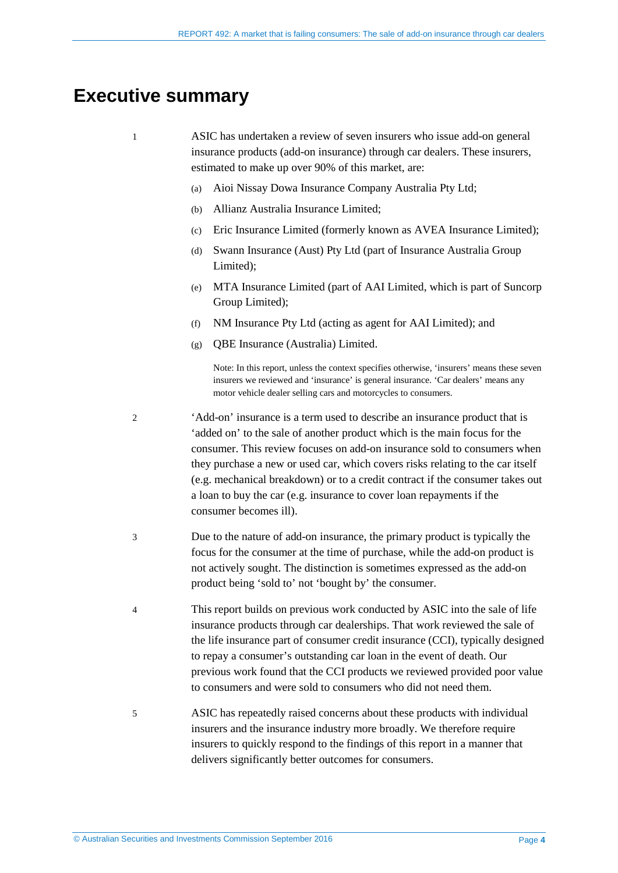## <span id="page-3-0"></span>**Executive summary**

1 ASIC has undertaken a review of seven insurers who issue add-on general insurance products (add-on insurance) through car dealers. These insurers, estimated to make up over 90% of this market, are:

- (a) Aioi Nissay Dowa Insurance Company Australia Pty Ltd;
- (b) Allianz Australia Insurance Limited;
- (c) Eric Insurance Limited (formerly known as AVEA Insurance Limited);
- (d) Swann Insurance (Aust) Pty Ltd (part of Insurance Australia Group Limited);
- (e) MTA Insurance Limited (part of AAI Limited, which is part of Suncorp Group Limited);
- (f) NM Insurance Pty Ltd (acting as agent for AAI Limited); and
- (g) QBE Insurance (Australia) Limited.

Note: In this report, unless the context specifies otherwise, 'insurers' means these seven insurers we reviewed and 'insurance' is general insurance. 'Car dealers' means any motor vehicle dealer selling cars and motorcycles to consumers.

- 2 'Add-on' insurance is a term used to describe an insurance product that is 'added on' to the sale of another product which is the main focus for the consumer. This review focuses on add-on insurance sold to consumers when they purchase a new or used car, which covers risks relating to the car itself (e.g. mechanical breakdown) or to a credit contract if the consumer takes out a loan to buy the car (e.g. insurance to cover loan repayments if the consumer becomes ill).
- 3 Due to the nature of add-on insurance, the primary product is typically the focus for the consumer at the time of purchase, while the add-on product is not actively sought. The distinction is sometimes expressed as the add-on product being 'sold to' not 'bought by' the consumer.
- 4 This report builds on previous work conducted by ASIC into the sale of life insurance products through car dealerships. That work reviewed the sale of the life insurance part of consumer credit insurance (CCI), typically designed to repay a consumer's outstanding car loan in the event of death. Our previous work found that the CCI products we reviewed provided poor value to consumers and were sold to consumers who did not need them.
- 5 ASIC has repeatedly raised concerns about these products with individual insurers and the insurance industry more broadly. We therefore require insurers to quickly respond to the findings of this report in a manner that delivers significantly better outcomes for consumers.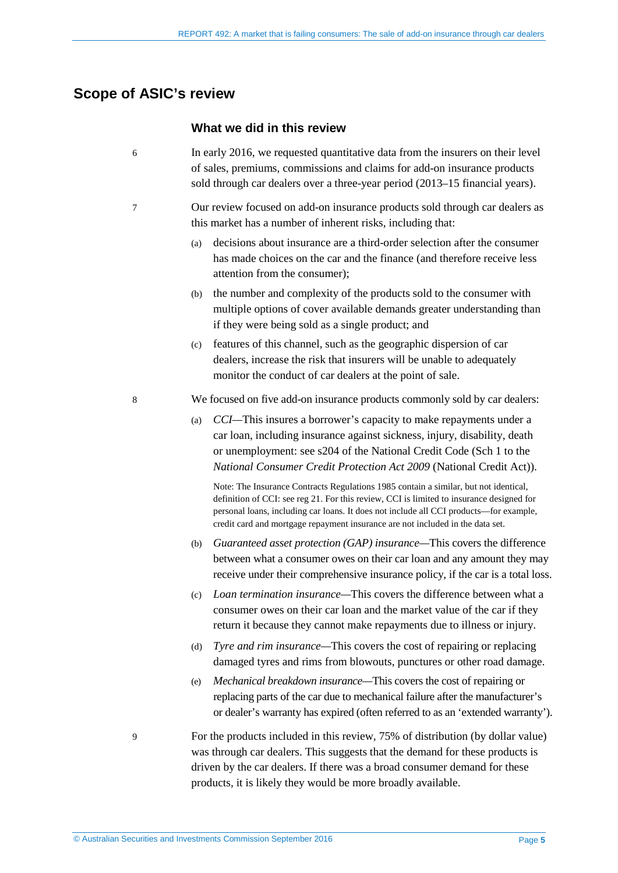#### <span id="page-4-0"></span>**Scope of ASIC's review**

#### **What we did in this review**

- 6 In early 2016, we requested quantitative data from the insurers on their level of sales, premiums, commissions and claims for add-on insurance products sold through car dealers over a three-year period (2013–15 financial years).
- 7 Our review focused on add-on insurance products sold through car dealers as this market has a number of inherent risks, including that:
	- (a) decisions about insurance are a third-order selection after the consumer has made choices on the car and the finance (and therefore receive less attention from the consumer);
	- (b) the number and complexity of the products sold to the consumer with multiple options of cover available demands greater understanding than if they were being sold as a single product; and
	- (c) features of this channel, such as the geographic dispersion of car dealers, increase the risk that insurers will be unable to adequately monitor the conduct of car dealers at the point of sale.
- <span id="page-4-1"></span>8 We focused on five add-on insurance products commonly sold by car dealers:
	- (a) *CCI—*This insures a borrower's capacity to make repayments under a car loan, including insurance against sickness, injury, disability, death or unemployment: see s204 of the National Credit Code (Sch 1 to the *National Consumer Credit Protection Act 2009* (National Credit Act)).

Note: The Insurance Contracts Regulations 1985 contain a similar, but not identical, definition of CCI: see reg 21. For this review, CCI is limited to insurance designed for personal loans, including car loans. It does not include all CCI products—for example, credit card and mortgage repayment insurance are not included in the data set.

- (b) *Guaranteed asset protection (GAP) insurance—*This covers the difference between what a consumer owes on their car loan and any amount they may receive under their comprehensive insurance policy, if the car is a total loss.
- (c) *Loan termination insurance—*This covers the difference between what a consumer owes on their car loan and the market value of the car if they return it because they cannot make repayments due to illness or injury.
- (d) *Tyre and rim insurance—*This covers the cost of repairing or replacing damaged tyres and rims from blowouts, punctures or other road damage.
- (e) *Mechanical breakdown insurance—*This covers the cost of repairing or replacing parts of the car due to mechanical failure after the manufacturer's or dealer's warranty has expired (often referred to as an 'extended warranty').
- 9 For the products included in this review, 75% of distribution (by dollar value) was through car dealers. This suggests that the demand for these products is driven by the car dealers. If there was a broad consumer demand for these products, it is likely they would be more broadly available.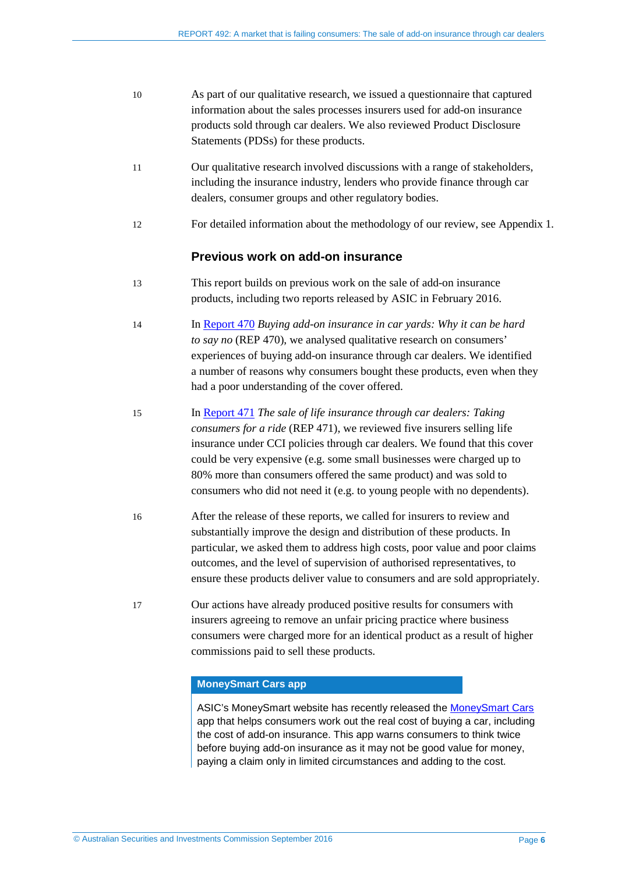| 10 | As part of our qualitative research, we issued a question aire that captured |
|----|------------------------------------------------------------------------------|
|    | information about the sales processes insurers used for add-on insurance     |
|    | products sold through car dealers. We also reviewed Product Disclosure       |
|    | Statements (PDSs) for these products.                                        |
|    |                                                                              |

- 11 Our qualitative research involved discussions with a range of stakeholders, including the insurance industry, lenders who provide finance through car dealers, consumer groups and other regulatory bodies.
- 12 For detailed information about the methodology of our review, see [Appendix 1.](#page-44-0)

#### **Previous work on add-on insurance**

- 13 This report builds on previous work on the sale of add-on insurance products, including two reports released by ASIC in February 2016.
- 14 In [Report 470](http://asic.gov.au/regulatory-resources/find-a-document/reports/rep-470-buying-add-on-insurance-in-car-yards-why-it-can-be-hard-to-say-no/) *Buying add-on insurance in car yards: Why it can be hard to say no* (REP 470), we analysed qualitative research on consumers' experiences of buying add-on insurance through car dealers. We identified a number of reasons why consumers bought these products, even when they had a poor understanding of the cover offered.
- 15 In [Report 471](http://asic.gov.au/regulatory-resources/find-a-document/reports/rep-471-the-sale-of-life-insurance-through-car-dealers-taking-consumers-for-a-ride/) *The sale of life insurance through car dealers: Taking consumers for a ride* (REP 471), we reviewed five insurers selling life insurance under CCI policies through car dealers. We found that this cover could be very expensive (e.g. some small businesses were charged up to 80% more than consumers offered the same product) and was sold to consumers who did not need it (e.g. to young people with no dependents).
- 16 After the release of these reports, we called for insurers to review and substantially improve the design and distribution of these products. In particular, we asked them to address high costs, poor value and poor claims outcomes, and the level of supervision of authorised representatives, to ensure these products deliver value to consumers and are sold appropriately.
- 17 Our actions have already produced positive results for consumers with insurers agreeing to remove an unfair pricing practice where business consumers were charged more for an identical product as a result of higher commissions paid to sell these products.

#### **MoneySmart Cars app**

ASIC's MoneySmart website has recently released the [MoneySmart Cars](https://www.moneysmart.gov.au/tools-and-resources/calculators-and-apps/mobile-apps/moneysmart-cars) app that helps consumers work out the real cost of buying a car, including the cost of add-on insurance. This app warns consumers to think twice before buying add-on insurance as it may not be good value for money, paying a claim only in limited circumstances and adding to the cost.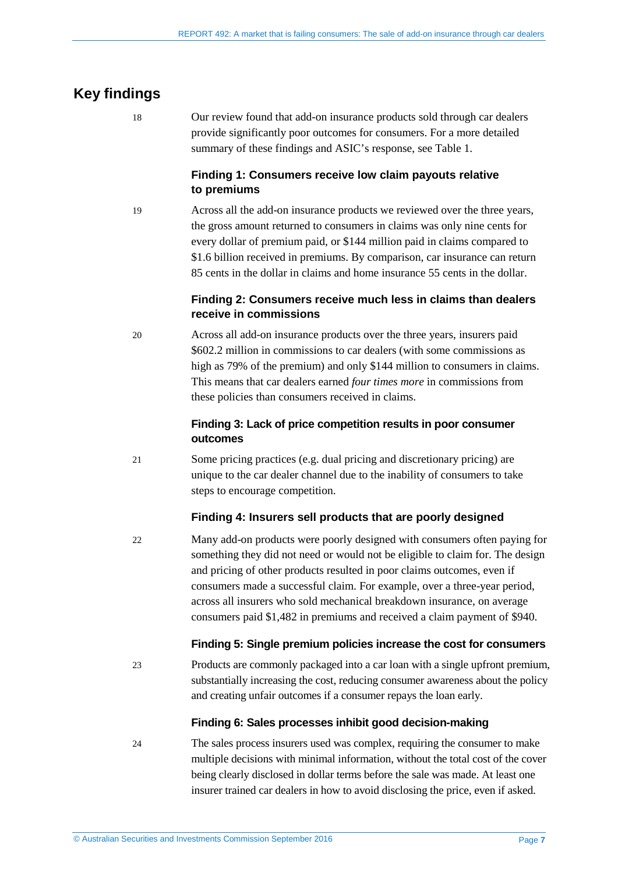### <span id="page-6-0"></span>**Key findings**

18 Our review found that add-on insurance products sold through car dealers provide significantly poor outcomes for consumers. For a more detailed summary of these findings and ASIC's response, see [Table 1.](#page-8-0)

#### **Finding 1: Consumers receive low claim payouts relative to premiums**

19 Across all the add-on insurance products we reviewed over the three years, the gross amount returned to consumers in claims was only nine cents for every dollar of premium paid, or \$144 million paid in claims compared to \$1.6 billion received in premiums. By comparison, car insurance can return 85 cents in the dollar in claims and home insurance 55 cents in the dollar.

#### **Finding 2: Consumers receive much less in claims than dealers receive in commissions**

20 Across all add-on insurance products over the three years, insurers paid \$602.2 million in commissions to car dealers (with some commissions as high as 79% of the premium) and only \$144 million to consumers in claims. This means that car dealers earned *four times more* in commissions from these policies than consumers received in claims.

#### **Finding 3: Lack of price competition results in poor consumer outcomes**

21 Some pricing practices (e.g. dual pricing and discretionary pricing) are unique to the car dealer channel due to the inability of consumers to take steps to encourage competition.

#### **Finding 4: Insurers sell products that are poorly designed**

22 Many add-on products were poorly designed with consumers often paying for something they did not need or would not be eligible to claim for. The design and pricing of other products resulted in poor claims outcomes, even if consumers made a successful claim. For example, over a three-year period, across all insurers who sold mechanical breakdown insurance, on average consumers paid \$1,482 in premiums and received a claim payment of \$940.

#### **Finding 5: Single premium policies increase the cost for consumers**

23 Products are commonly packaged into a car loan with a single upfront premium, substantially increasing the cost, reducing consumer awareness about the policy and creating unfair outcomes if a consumer repays the loan early.

#### **Finding 6: Sales processes inhibit good decision-making**

24 The sales process insurers used was complex, requiring the consumer to make multiple decisions with minimal information, without the total cost of the cover being clearly disclosed in dollar terms before the sale was made. At least one insurer trained car dealers in how to avoid disclosing the price, even if asked.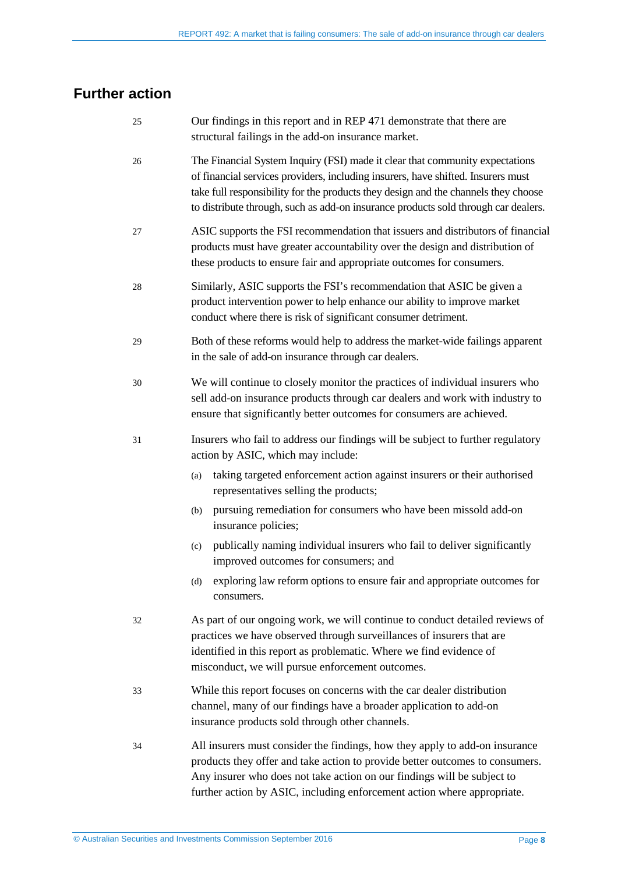## <span id="page-7-0"></span>**Further action**

| 25 | Our findings in this report and in REP 471 demonstrate that there are<br>structural failings in the add-on insurance market.                                                                                                                                                                                                                 |  |  |
|----|----------------------------------------------------------------------------------------------------------------------------------------------------------------------------------------------------------------------------------------------------------------------------------------------------------------------------------------------|--|--|
| 26 | The Financial System Inquiry (FSI) made it clear that community expectations<br>of financial services providers, including insurers, have shifted. Insurers must<br>take full responsibility for the products they design and the channels they choose<br>to distribute through, such as add-on insurance products sold through car dealers. |  |  |
| 27 | ASIC supports the FSI recommendation that issuers and distributors of financial<br>products must have greater accountability over the design and distribution of<br>these products to ensure fair and appropriate outcomes for consumers.                                                                                                    |  |  |
| 28 | Similarly, ASIC supports the FSI's recommendation that ASIC be given a<br>product intervention power to help enhance our ability to improve market<br>conduct where there is risk of significant consumer detriment.                                                                                                                         |  |  |
| 29 | Both of these reforms would help to address the market-wide failings apparent<br>in the sale of add-on insurance through car dealers.                                                                                                                                                                                                        |  |  |
| 30 | We will continue to closely monitor the practices of individual insurers who<br>sell add-on insurance products through car dealers and work with industry to<br>ensure that significantly better outcomes for consumers are achieved.                                                                                                        |  |  |
| 31 | Insurers who fail to address our findings will be subject to further regulatory<br>action by ASIC, which may include:                                                                                                                                                                                                                        |  |  |
|    | taking targeted enforcement action against insurers or their authorised<br>(a)<br>representatives selling the products;                                                                                                                                                                                                                      |  |  |
|    | pursuing remediation for consumers who have been missold add-on<br>(b)<br>insurance policies;                                                                                                                                                                                                                                                |  |  |
|    | publically naming individual insurers who fail to deliver significantly<br>(c)<br>improved outcomes for consumers; and                                                                                                                                                                                                                       |  |  |
|    | (d) exploring law reform options to ensure fair and appropriate outcomes for<br>consumers.                                                                                                                                                                                                                                                   |  |  |
| 32 | As part of our ongoing work, we will continue to conduct detailed reviews of<br>practices we have observed through surveillances of insurers that are<br>identified in this report as problematic. Where we find evidence of<br>misconduct, we will pursue enforcement outcomes.                                                             |  |  |
| 33 | While this report focuses on concerns with the car dealer distribution<br>channel, many of our findings have a broader application to add-on<br>insurance products sold through other channels.                                                                                                                                              |  |  |
| 34 | All insurers must consider the findings, how they apply to add-on insurance<br>products they offer and take action to provide better outcomes to consumers.<br>Any insurer who does not take action on our findings will be subject to<br>further action by ASIC, including enforcement action where appropriate.                            |  |  |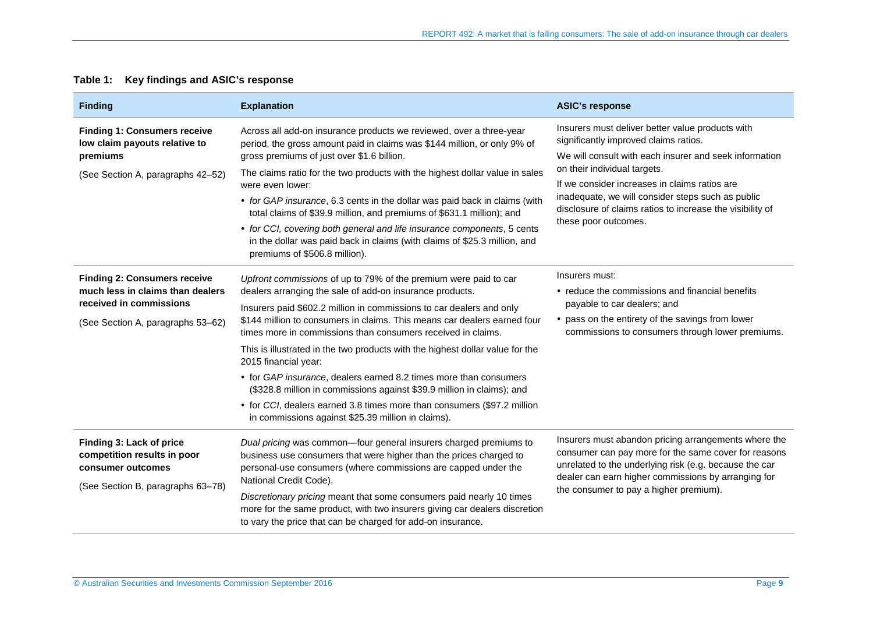<span id="page-8-0"></span>

| <b>Finding</b>                                                                                                                          | <b>Explanation</b>                                                                                                                                                                                                                                                                                                                                                                                                                                                                                                                                                                                                                                                                                                                        | <b>ASIC's response</b>                                                                                                                                                                                                                                                                                                                                                         |  |
|-----------------------------------------------------------------------------------------------------------------------------------------|-------------------------------------------------------------------------------------------------------------------------------------------------------------------------------------------------------------------------------------------------------------------------------------------------------------------------------------------------------------------------------------------------------------------------------------------------------------------------------------------------------------------------------------------------------------------------------------------------------------------------------------------------------------------------------------------------------------------------------------------|--------------------------------------------------------------------------------------------------------------------------------------------------------------------------------------------------------------------------------------------------------------------------------------------------------------------------------------------------------------------------------|--|
| <b>Finding 1: Consumers receive</b><br>low claim payouts relative to<br>premiums                                                        | Across all add-on insurance products we reviewed, over a three-year<br>period, the gross amount paid in claims was \$144 million, or only 9% of<br>gross premiums of just over \$1.6 billion.                                                                                                                                                                                                                                                                                                                                                                                                                                                                                                                                             | Insurers must deliver better value products with<br>significantly improved claims ratios.<br>We will consult with each insurer and seek information<br>on their individual targets.<br>If we consider increases in claims ratios are<br>inadequate, we will consider steps such as public<br>disclosure of claims ratios to increase the visibility of<br>these poor outcomes. |  |
| (See Section A, paragraphs 42-52)                                                                                                       | The claims ratio for the two products with the highest dollar value in sales<br>were even lower:<br>• for GAP insurance, 6.3 cents in the dollar was paid back in claims (with<br>total claims of \$39.9 million, and premiums of \$631.1 million); and<br>• for CCI, covering both general and life insurance components, 5 cents<br>in the dollar was paid back in claims (with claims of \$25.3 million, and<br>premiums of \$506.8 million).                                                                                                                                                                                                                                                                                          |                                                                                                                                                                                                                                                                                                                                                                                |  |
| <b>Finding 2: Consumers receive</b><br>much less in claims than dealers<br>received in commissions<br>(See Section A, paragraphs 53–62) | Upfront commissions of up to 79% of the premium were paid to car<br>dealers arranging the sale of add-on insurance products.<br>Insurers paid \$602.2 million in commissions to car dealers and only<br>\$144 million to consumers in claims. This means car dealers earned four<br>times more in commissions than consumers received in claims.<br>This is illustrated in the two products with the highest dollar value for the<br>2015 financial year:<br>• for GAP insurance, dealers earned 8.2 times more than consumers<br>(\$328.8 million in commissions against \$39.9 million in claims); and<br>• for CCI, dealers earned 3.8 times more than consumers (\$97.2 million<br>in commissions against \$25.39 million in claims). | Insurers must:<br>• reduce the commissions and financial benefits<br>payable to car dealers; and<br>• pass on the entirety of the savings from lower<br>commissions to consumers through lower premiums.                                                                                                                                                                       |  |
| Finding 3: Lack of price<br>competition results in poor<br>consumer outcomes<br>(See Section B, paragraphs 63-78)                       | Dual pricing was common-four general insurers charged premiums to<br>business use consumers that were higher than the prices charged to<br>personal-use consumers (where commissions are capped under the<br>National Credit Code).<br>Discretionary pricing meant that some consumers paid nearly 10 times<br>more for the same product, with two insurers giving car dealers discretion<br>to vary the price that can be charged for add-on insurance.                                                                                                                                                                                                                                                                                  | Insurers must abandon pricing arrangements where the<br>consumer can pay more for the same cover for reasons<br>unrelated to the underlying risk (e.g. because the car<br>dealer can earn higher commissions by arranging for<br>the consumer to pay a higher premium).                                                                                                        |  |

#### **Table 1: Key findings and ASIC's response**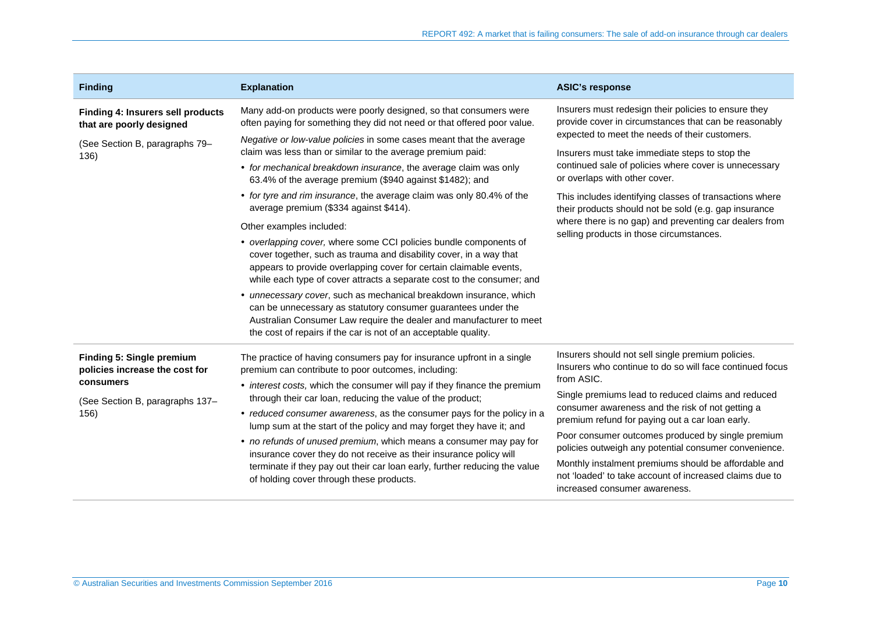| <b>Finding</b>                                                                                                             | <b>Explanation</b>                                                                                                                                                                                                                                                                                                                                                                                                                                                                                                                                                                                                                                                                                                                                                                                                                                                                                                                                                                            | <b>ASIC's response</b>                                                                                                                                                                                                                                                                                                                                                                                                                                                                                                                                     |
|----------------------------------------------------------------------------------------------------------------------------|-----------------------------------------------------------------------------------------------------------------------------------------------------------------------------------------------------------------------------------------------------------------------------------------------------------------------------------------------------------------------------------------------------------------------------------------------------------------------------------------------------------------------------------------------------------------------------------------------------------------------------------------------------------------------------------------------------------------------------------------------------------------------------------------------------------------------------------------------------------------------------------------------------------------------------------------------------------------------------------------------|------------------------------------------------------------------------------------------------------------------------------------------------------------------------------------------------------------------------------------------------------------------------------------------------------------------------------------------------------------------------------------------------------------------------------------------------------------------------------------------------------------------------------------------------------------|
| Finding 4: Insurers sell products<br>that are poorly designed                                                              | Many add-on products were poorly designed, so that consumers were<br>often paying for something they did not need or that offered poor value.                                                                                                                                                                                                                                                                                                                                                                                                                                                                                                                                                                                                                                                                                                                                                                                                                                                 | Insurers must redesign their policies to ensure they<br>provide cover in circumstances that can be reasonably<br>expected to meet the needs of their customers.<br>Insurers must take immediate steps to stop the<br>continued sale of policies where cover is unnecessary<br>or overlaps with other cover.<br>This includes identifying classes of transactions where<br>their products should not be sold (e.g. gap insurance<br>where there is no gap) and preventing car dealers from<br>selling products in those circumstances.                      |
| (See Section B, paragraphs 79-<br>136)                                                                                     | Negative or low-value policies in some cases meant that the average<br>claim was less than or similar to the average premium paid:<br>• for mechanical breakdown insurance, the average claim was only<br>63.4% of the average premium (\$940 against \$1482); and<br>• for tyre and rim insurance, the average claim was only 80.4% of the<br>average premium (\$334 against \$414).<br>Other examples included:<br>• overlapping cover, where some CCI policies bundle components of<br>cover together, such as trauma and disability cover, in a way that<br>appears to provide overlapping cover for certain claimable events,<br>while each type of cover attracts a separate cost to the consumer; and<br>• unnecessary cover, such as mechanical breakdown insurance, which<br>can be unnecessary as statutory consumer guarantees under the<br>Australian Consumer Law require the dealer and manufacturer to meet<br>the cost of repairs if the car is not of an acceptable quality. |                                                                                                                                                                                                                                                                                                                                                                                                                                                                                                                                                            |
| <b>Finding 5: Single premium</b><br>policies increase the cost for<br>consumers<br>(See Section B, paragraphs 137-<br>156) | The practice of having consumers pay for insurance upfront in a single<br>premium can contribute to poor outcomes, including:<br>• interest costs, which the consumer will pay if they finance the premium<br>through their car loan, reducing the value of the product;<br>• reduced consumer awareness, as the consumer pays for the policy in a<br>lump sum at the start of the policy and may forget they have it; and<br>• no refunds of unused premium, which means a consumer may pay for<br>insurance cover they do not receive as their insurance policy will<br>terminate if they pay out their car loan early, further reducing the value<br>of holding cover through these products.                                                                                                                                                                                                                                                                                              | Insurers should not sell single premium policies.<br>Insurers who continue to do so will face continued focus<br>from ASIC.<br>Single premiums lead to reduced claims and reduced<br>consumer awareness and the risk of not getting a<br>premium refund for paying out a car loan early.<br>Poor consumer outcomes produced by single premium<br>policies outweigh any potential consumer convenience.<br>Monthly instalment premiums should be affordable and<br>not 'loaded' to take account of increased claims due to<br>increased consumer awareness. |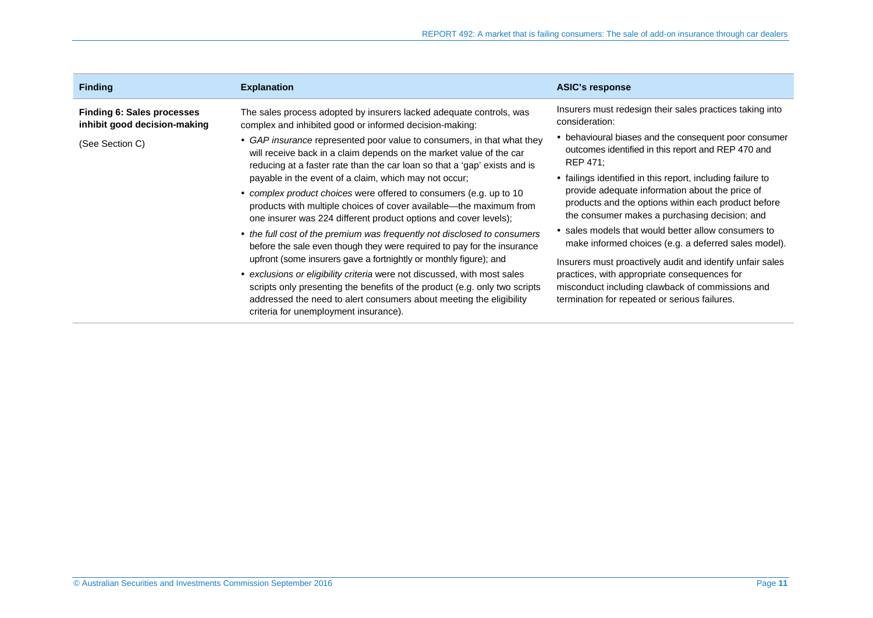| <b>Finding</b>                                                                | <b>Explanation</b>                                                                                                                                                                                                                                                                                                                                                                                                                                                                                 | <b>ASIC's response</b>                                                                                                                                                                                                                                                                                                        |
|-------------------------------------------------------------------------------|----------------------------------------------------------------------------------------------------------------------------------------------------------------------------------------------------------------------------------------------------------------------------------------------------------------------------------------------------------------------------------------------------------------------------------------------------------------------------------------------------|-------------------------------------------------------------------------------------------------------------------------------------------------------------------------------------------------------------------------------------------------------------------------------------------------------------------------------|
| Finding 6: Sales processes<br>inhibit good decision-making<br>(See Section C) | The sales process adopted by insurers lacked adequate controls, was<br>complex and inhibited good or informed decision-making:<br>• GAP insurance represented poor value to consumers, in that what they<br>will receive back in a claim depends on the market value of the car                                                                                                                                                                                                                    | Insurers must redesign their sales practices taking into<br>consideration:<br>• behavioural biases and the consequent poor consumer<br>outcomes identified in this report and REP 470 and<br>REP 471:                                                                                                                         |
|                                                                               | reducing at a faster rate than the car loan so that a 'gap' exists and is<br>payable in the event of a claim, which may not occur;<br>• complex product choices were offered to consumers (e.g. up to 10<br>products with multiple choices of cover available—the maximum from<br>one insurer was 224 different product options and cover levels);                                                                                                                                                 | • failings identified in this report, including failure to<br>provide adequate information about the price of<br>products and the options within each product before<br>the consumer makes a purchasing decision; and                                                                                                         |
|                                                                               | • the full cost of the premium was frequently not disclosed to consumers<br>before the sale even though they were required to pay for the insurance<br>upfront (some insurers gave a fortnightly or monthly figure); and<br>• exclusions or eligibility criteria were not discussed, with most sales<br>scripts only presenting the benefits of the product (e.g. only two scripts<br>addressed the need to alert consumers about meeting the eligibility<br>criteria for unemployment insurance). | • sales models that would better allow consumers to<br>make informed choices (e.g. a deferred sales model).<br>Insurers must proactively audit and identify unfair sales<br>practices, with appropriate consequences for<br>misconduct including clawback of commissions and<br>termination for repeated or serious failures. |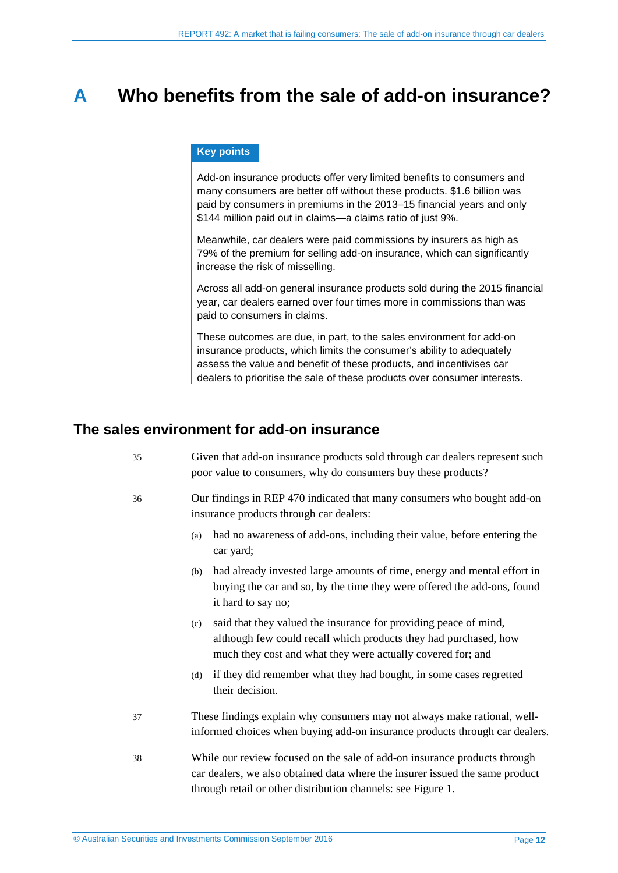## <span id="page-11-2"></span><span id="page-11-0"></span>**A Who benefits from the sale of add-on insurance?**

#### **Key points**

Add-on insurance products offer very limited benefits to consumers and many consumers are better off without these products. \$1.6 billion was paid by consumers in premiums in the 2013–15 financial years and only \$144 million paid out in claims—a claims ratio of just 9%.

Meanwhile, car dealers were paid commissions by insurers as high as 79% of the premium for selling add-on insurance, which can significantly increase the risk of misselling.

Across all add-on general insurance products sold during the 2015 financial year, car dealers earned over four times more in commissions than was paid to consumers in claims.

These outcomes are due, in part, to the sales environment for add-on insurance products, which limits the consumer's ability to adequately assess the value and benefit of these products, and incentivises car dealers to prioritise the sale of these products over consumer interests.

#### <span id="page-11-1"></span>**The sales environment for add-on insurance**

| 35 | Given that add-on insurance products sold through car dealers represent such |
|----|------------------------------------------------------------------------------|
|    | poor value to consumers, why do consumers buy these products?                |

- 36 Our findings in REP 470 indicated that many consumers who bought add-on insurance products through car dealers:
	- (a) had no awareness of add-ons, including their value, before entering the car yard;
	- (b) had already invested large amounts of time, energy and mental effort in buying the car and so, by the time they were offered the add-ons, found it hard to say no;
	- (c) said that they valued the insurance for providing peace of mind, although few could recall which products they had purchased, how much they cost and what they were actually covered for; and
	- (d) if they did remember what they had bought, in some cases regretted their decision.
- 37 These findings explain why consumers may not always make rational, wellinformed choices when buying add-on insurance products through car dealers.
- 38 While our review focused on the sale of add-on insurance products through car dealers, we also obtained data where the insurer issued the same product through retail or other distribution channels: see [Figure 1.](#page-12-0)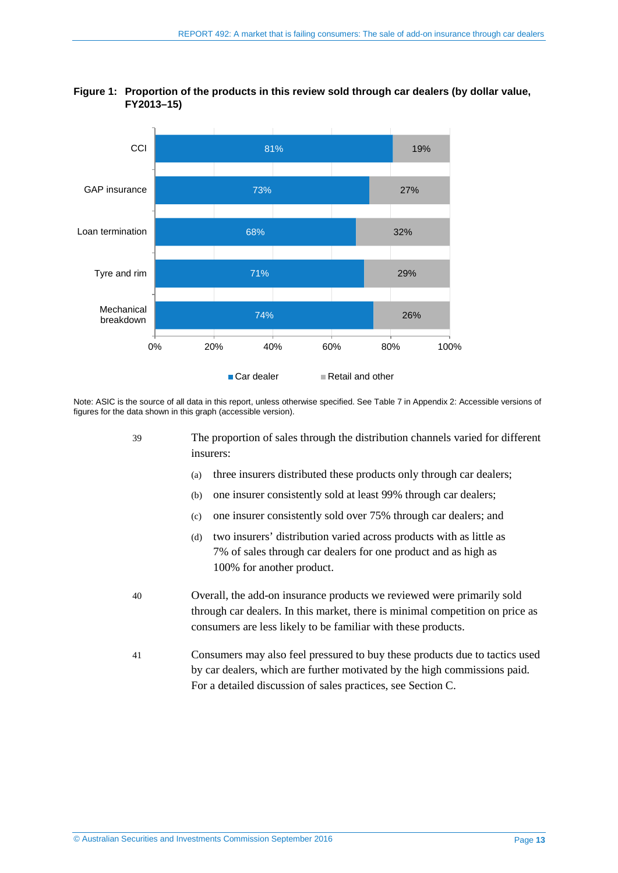

#### <span id="page-12-0"></span>**Figure 1: Proportion of the products in this review sold through car dealers (by dollar value, FY2013–15)**

Note: ASIC is the source of all data in this report, unless otherwise specified. Se[e Table 7](#page-47-1) i[n Appendix 2: Accessible versions of](#page-47-0)  [figures](#page-47-0) for the data shown in this graph (accessible version).

- 39 The proportion of sales through the distribution channels varied for different insurers:
	- (a) three insurers distributed these products only through car dealers;
	- (b) one insurer consistently sold at least 99% through car dealers;
	- (c) one insurer consistently sold over 75% through car dealers; and
	- (d) two insurers' distribution varied across products with as little as 7% of sales through car dealers for one product and as high as 100% for another product.
- 40 Overall, the add-on insurance products we reviewed were primarily sold through car dealers. In this market, there is minimal competition on price as consumers are less likely to be familiar with these products.
- 41 Consumers may also feel pressured to buy these products due to tactics used by car dealers, which are further motivated by the high commissions paid. For a detailed discussion of sales practices, see Section [C.](#page-31-0)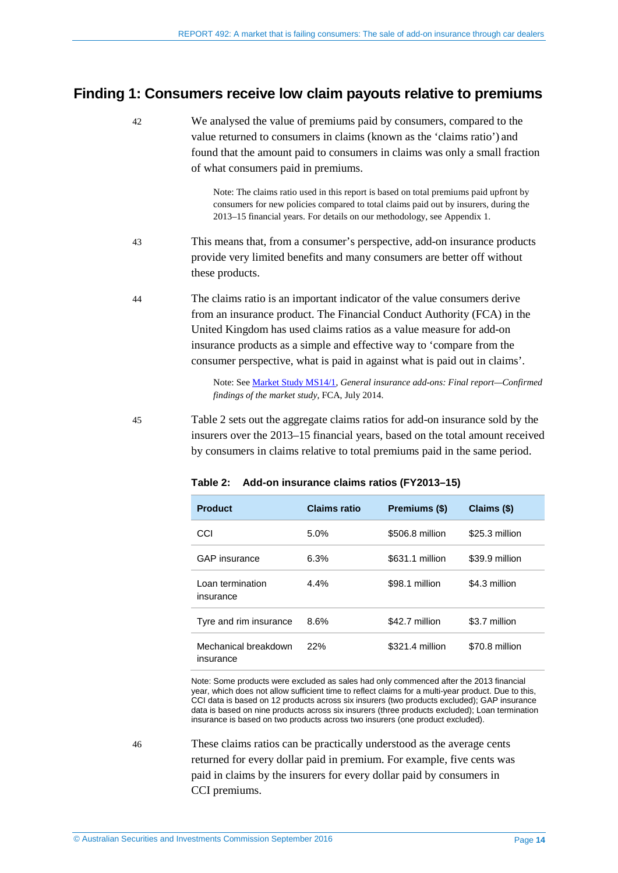#### <span id="page-13-1"></span><span id="page-13-0"></span>**Finding 1: Consumers receive low claim payouts relative to premiums**

- 42 We analysed the value of premiums paid by consumers, compared to the value returned to consumers in claims (known as the 'claims ratio') and found that the amount paid to consumers in claims was only a small fraction of what consumers paid in premiums. Note: The claims ratio used in this report is based on total premiums paid upfront by consumers for new policies compared to total claims paid out by insurers, during the 2013–15 financial years. For details on our methodology, see Appendix 1. 43 This means that, from a consumer's perspective, add-on insurance products provide very limited benefits and many consumers are better off without these products. 44 The claims ratio is an important indicator of the value consumers derive
	- from an insurance product. The Financial Conduct Authority (FCA) in the United Kingdom has used claims ratios as a value measure for add-on insurance products as a simple and effective way to 'compare from the consumer perspective, what is paid in against what is paid out in claims'.

Note: See [Market Study MS14/1,](https://www.fca.org.uk/publication/market-studies/ms14-01.pdf) *General insurance add-ons: Final report—Confirmed findings of the market study*, FCA, July 2014.

<span id="page-13-2"></span>45 [Table 2](#page-13-2) sets out the aggregate claims ratios for add-on insurance sold by the insurers over the 2013–15 financial years, based on the total amount received by consumers in claims relative to total premiums paid in the same period.

| <b>Product</b>                    | <b>Claims ratio</b> | Premiums (\$)   | Claims (\$)    |
|-----------------------------------|---------------------|-----------------|----------------|
| CCI                               | 5.0%                | \$506.8 million | \$25.3 million |
| <b>GAP</b> insurance              | 6.3%                | \$631.1 million | \$39.9 million |
| Loan termination<br>insurance     | $4.4\%$             | \$98.1 million  | \$4.3 million  |
| Tyre and rim insurance            | 8.6%                | \$42.7 million  | \$3.7 million  |
| Mechanical breakdown<br>insurance | 22%                 | \$321.4 million | \$70.8 million |

**Table 2: Add-on insurance claims ratios (FY2013–15)**

Note: Some products were excluded as sales had only commenced after the 2013 financial year, which does not allow sufficient time to reflect claims for a multi-year product. Due to this, CCI data is based on 12 products across six insurers (two products excluded); GAP insurance data is based on nine products across six insurers (three products excluded); Loan termination insurance is based on two products across two insurers (one product excluded).

46 These claims ratios can be practically understood as the average cents returned for every dollar paid in premium. For example, five cents was paid in claims by the insurers for every dollar paid by consumers in CCI premiums.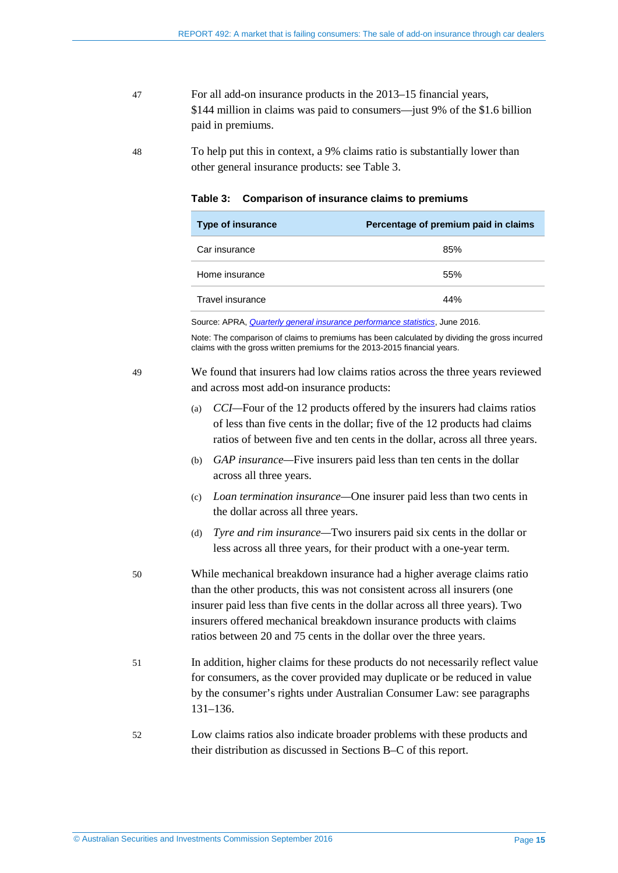47 For all add-on insurance products in the 2013–15 financial years, \$144 million in claims was paid to consumers—just 9% of the \$1.6 billion paid in premiums.

<span id="page-14-1"></span>48 To help put this in context, a 9% claims ratio is substantially lower than other general insurance products: see [Table 3.](#page-14-1)

| <b>Type of insurance</b> | Percentage of premium paid in claims |
|--------------------------|--------------------------------------|
| Car insurance            | 85%                                  |
| Home insurance           | 55%                                  |
| Travel insurance         | 44%                                  |

Source: APRA, *[Quarterly general insurance performance statistics](http://www.apra.gov.au/GI/Publications/Pages/quarterly-general-insurance-statistics.aspx)*, June 2016.

Note: The comparison of claims to premiums has been calculated by dividing the gross incurred claims with the gross written premiums for the 2013-2015 financial years.

<span id="page-14-0"></span>49 We found that insurers had low claims ratios across the three years reviewed and across most add-on insurance products:

- (a) *CCI—*Four of the 12 products offered by the insurers had claims ratios of less than five cents in the dollar; five of the 12 products had claims ratios of between five and ten cents in the dollar, across all three years.
- (b) *GAP insurance—*Five insurers paid less than ten cents in the dollar across all three years.
- (c) *Loan termination insurance—*One insurer paid less than two cents in the dollar across all three years.
- (d) *Tyre and rim insurance—*Two insurers paid six cents in the dollar or less across all three years, for their product with a one-year term.
- 50 While mechanical breakdown insurance had a higher average claims ratio than the other products, this was not consistent across all insurers (one insurer paid less than five cents in the dollar across all three years). Two insurers offered mechanical breakdown insurance products with claims ratios between 20 and 75 cents in the dollar over the three years.
- 51 In addition, higher claims for these products do not necessarily reflect value for consumers, as the cover provided may duplicate or be reduced in value by the consumer's rights under Australian Consumer Law: see paragraphs [131](#page-27-1)[–136.](#page-27-2)
- 52 Low claims ratios also indicate broader problems with these products and their distribution as discussed in Sections [B](#page-18-0)[–C](#page-31-0) of this report.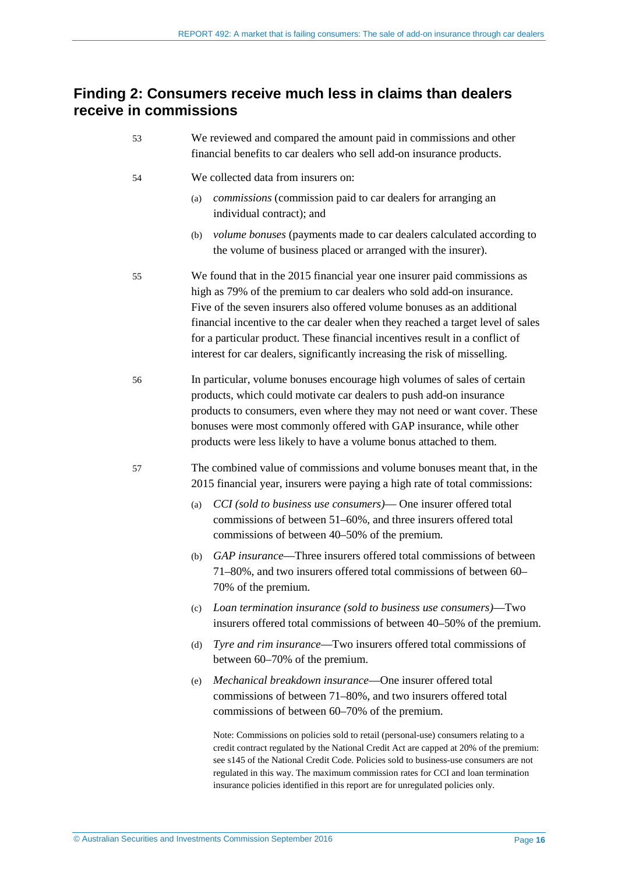### <span id="page-15-1"></span><span id="page-15-0"></span>**Finding 2: Consumers receive much less in claims than dealers receive in commissions**

| 53 | We reviewed and compared the amount paid in commissions and other<br>financial benefits to car dealers who sell add-on insurance products.                                                                                                                                                                                                                                                                                                                                   |  |  |
|----|------------------------------------------------------------------------------------------------------------------------------------------------------------------------------------------------------------------------------------------------------------------------------------------------------------------------------------------------------------------------------------------------------------------------------------------------------------------------------|--|--|
| 54 | We collected data from insurers on:                                                                                                                                                                                                                                                                                                                                                                                                                                          |  |  |
|    | <i>commissions</i> (commission paid to car dealers for arranging an<br>(a)<br>individual contract); and                                                                                                                                                                                                                                                                                                                                                                      |  |  |
|    | <i>volume bonuses</i> (payments made to car dealers calculated according to<br>(b)<br>the volume of business placed or arranged with the insurer).                                                                                                                                                                                                                                                                                                                           |  |  |
| 55 | We found that in the 2015 financial year one insurer paid commissions as<br>high as 79% of the premium to car dealers who sold add-on insurance.<br>Five of the seven insurers also offered volume bonuses as an additional<br>financial incentive to the car dealer when they reached a target level of sales<br>for a particular product. These financial incentives result in a conflict of<br>interest for car dealers, significantly increasing the risk of misselling. |  |  |
| 56 | In particular, volume bonuses encourage high volumes of sales of certain<br>products, which could motivate car dealers to push add-on insurance<br>products to consumers, even where they may not need or want cover. These<br>bonuses were most commonly offered with GAP insurance, while other<br>products were less likely to have a volume bonus attached to them.                                                                                                      |  |  |
| 57 | The combined value of commissions and volume bonuses meant that, in the<br>2015 financial year, insurers were paying a high rate of total commissions:                                                                                                                                                                                                                                                                                                                       |  |  |
|    | CCI (sold to business use consumers)- One insurer offered total<br>(a)<br>commissions of between 51–60%, and three insurers offered total<br>commissions of between 40–50% of the premium.                                                                                                                                                                                                                                                                                   |  |  |
|    | GAP insurance—Three insurers offered total commissions of between<br>(b)<br>71–80%, and two insurers offered total commissions of between 60–<br>70% of the premium.                                                                                                                                                                                                                                                                                                         |  |  |
|    | Loan termination insurance (sold to business use consumers)—Two<br>(c)<br>insurers offered total commissions of between 40–50% of the premium.                                                                                                                                                                                                                                                                                                                               |  |  |
|    | Tyre and rim insurance—Two insurers offered total commissions of<br>(d)<br>between 60–70% of the premium.                                                                                                                                                                                                                                                                                                                                                                    |  |  |
|    | Mechanical breakdown insurance—One insurer offered total<br>(e)<br>commissions of between 71–80%, and two insurers offered total<br>commissions of between 60–70% of the premium.                                                                                                                                                                                                                                                                                            |  |  |
|    | Note: Commissions on policies sold to retail (personal-use) consumers relating to a<br>credit contract regulated by the National Credit Act are capped at 20% of the premium:<br>see s145 of the National Credit Code. Policies sold to business-use consumers are not<br>regulated in this way. The maximum commission rates for CCI and loan termination<br>insurance policies identified in this report are for unregulated policies only.                                |  |  |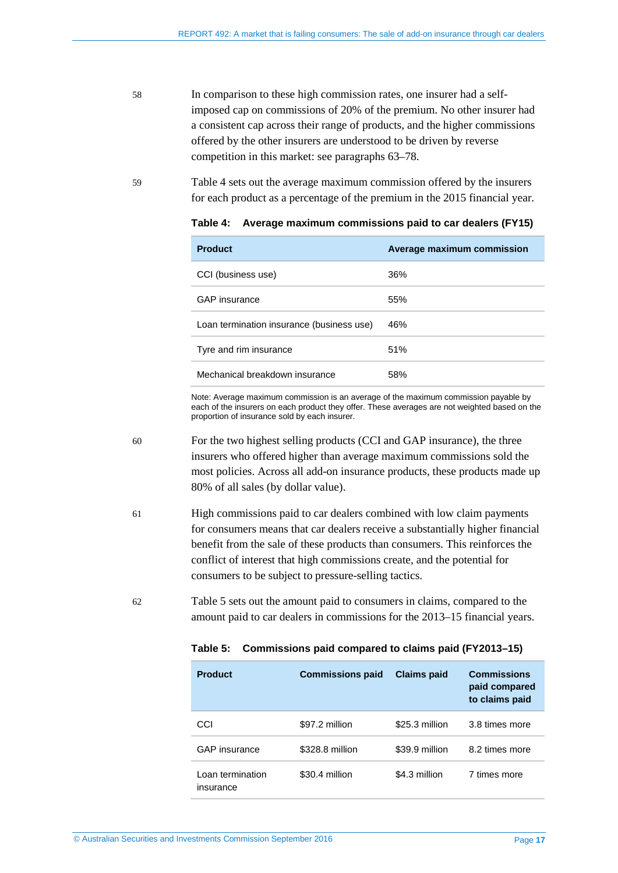- 58 In comparison to these high commission rates, one insurer had a selfimposed cap on commissions of 20% of the premium. No other insurer had a consistent cap across their range of products, and the higher commissions offered by the other insurers are understood to be driven by reverse competition in this market: see paragraph[s 63](#page-18-4)[–78.](#page-20-3)
- <span id="page-16-1"></span>59 [Table 4](#page-16-1) sets out the average maximum commission offered by the insurers for each product as a percentage of the premium in the 2015 financial year.

| <b>Product</b>                            | Average maximum commission |
|-------------------------------------------|----------------------------|
| CCI (business use)                        | 36%                        |
| <b>GAP</b> insurance                      | 55%                        |
| Loan termination insurance (business use) | 46%                        |
| Tyre and rim insurance                    | 51%                        |
| Mechanical breakdown insurance            | 58%                        |

**Table 4: Average maximum commissions paid to car dealers (FY15)**

Note: Average maximum commission is an average of the maximum commission payable by each of the insurers on each product they offer. These averages are not weighted based on the proportion of insurance sold by each insurer.

- <span id="page-16-0"></span>60 For the two highest selling products (CCI and GAP insurance), the three insurers who offered higher than average maximum commissions sold the most policies. Across all add-on insurance products, these products made up 80% of all sales (by dollar value).
- 61 High commissions paid to car dealers combined with low claim payments for consumers means that car dealers receive a substantially higher financial benefit from the sale of these products than consumers. This reinforces the conflict of interest that high commissions create, and the potential for consumers to be subject to pressure-selling tactics.
- <span id="page-16-2"></span>62 [Table 5](#page-16-2) sets out the amount paid to consumers in claims, compared to the amount paid to car dealers in commissions for the 2013–15 financial years.

| <b>Product</b>                | <b>Commissions paid</b> | <b>Claims paid</b> | <b>Commissions</b><br>paid compared<br>to claims paid |
|-------------------------------|-------------------------|--------------------|-------------------------------------------------------|
| CCI                           | \$97.2 million          | \$25.3 million     | 3.8 times more                                        |
| <b>GAP</b> insurance          | \$328.8 million         | \$39.9 million     | 8.2 times more                                        |
| Loan termination<br>insurance | \$30.4 million          | \$4.3 million      | 7 times more                                          |

**Table 5: Commissions paid compared to claims paid (FY2013–15)**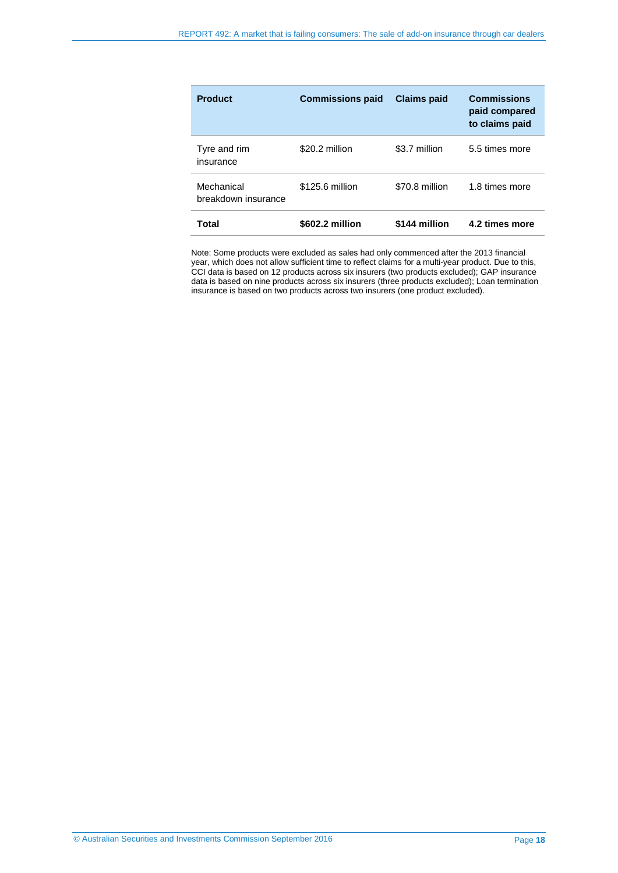| <b>Product</b>                    | <b>Commissions paid</b> | <b>Claims paid</b> | <b>Commissions</b><br>paid compared<br>to claims paid |
|-----------------------------------|-------------------------|--------------------|-------------------------------------------------------|
| Tyre and rim<br>insurance         | \$20.2 million          | \$3.7 million      | 5.5 times more                                        |
| Mechanical<br>breakdown insurance | \$125.6 million         | \$70.8 million     | 1.8 times more                                        |
| Total                             | \$602.2 million         | \$144 million      | 4.2 times more                                        |

Note: Some products were excluded as sales had only commenced after the 2013 financial year, which does not allow sufficient time to reflect claims for a multi-year product. Due to this, CCI data is based on 12 products across six insurers (two products excluded); GAP insurance data is based on nine products across six insurers (three products excluded); Loan termination insurance is based on two products across two insurers (one product excluded).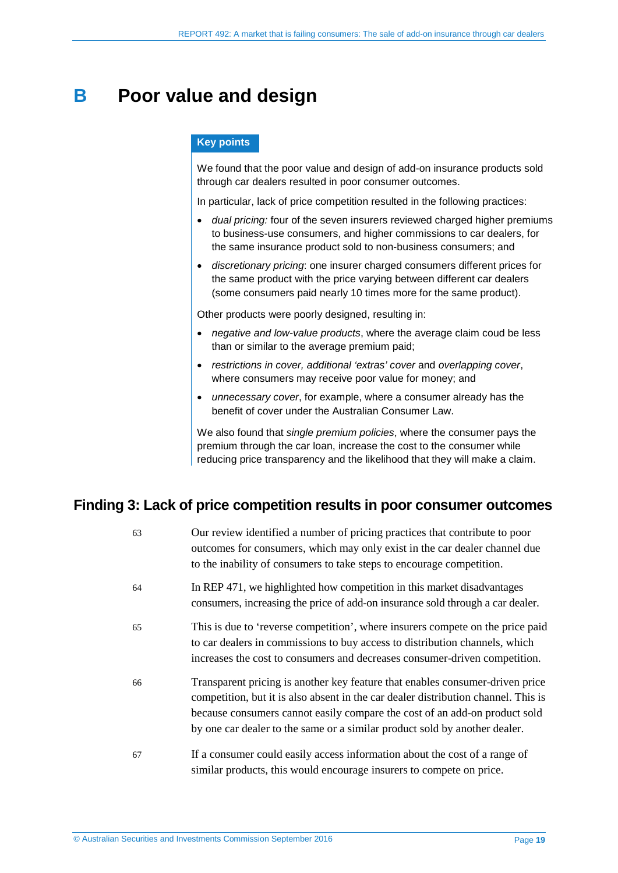## <span id="page-18-2"></span><span id="page-18-0"></span>**B** Poor value and design

#### **Key points**

We found that the poor value and design of add-on insurance products sold through car dealers resulted in poor consumer outcomes.

In particular, lack of price competition resulted in the following practices:

- *dual pricing:* four of the seven insurers reviewed charged higher premiums to business-use consumers, and higher commissions to car dealers, for the same insurance product sold to non-business consumers; and
- <span id="page-18-3"></span>• *discretionary pricing*: one insurer charged consumers different prices for the same product with the price varying between different car dealers (some consumers paid nearly 10 times more for the same product).

Other products were poorly designed, resulting in:

- *negative and low-value products*, where the average claim coud be less than or similar to the average premium paid;
- *restrictions in cover, additional 'extras' cover* and *overlapping cover*, where consumers may receive poor value for money; and
- *unnecessary cover*, for example, where a consumer already has the benefit of cover under the Australian Consumer Law.

We also found that *single premium policies*, where the consumer pays the premium through the car loan, increase the cost to the consumer while reducing price transparency and the likelihood that they will make a claim.

#### <span id="page-18-4"></span><span id="page-18-1"></span>**Finding 3: Lack of price competition results in poor consumer outcomes**

| 63 | Our review identified a number of pricing practices that contribute to poor<br>outcomes for consumers, which may only exist in the car dealer channel due<br>to the inability of consumers to take steps to encourage competition.                                                                                              |
|----|---------------------------------------------------------------------------------------------------------------------------------------------------------------------------------------------------------------------------------------------------------------------------------------------------------------------------------|
| 64 | In REP 471, we highlighted how competition in this market disadvantages<br>consumers, increasing the price of add-on insurance sold through a car dealer.                                                                                                                                                                       |
| 65 | This is due to 'reverse competition', where insurers compete on the price paid<br>to car dealers in commissions to buy access to distribution channels, which<br>increases the cost to consumers and decreases consumer-driven competition.                                                                                     |
| 66 | Transparent pricing is another key feature that enables consumer-driven price<br>competition, but it is also absent in the car dealer distribution channel. This is<br>because consumers cannot easily compare the cost of an add-on product sold<br>by one car dealer to the same or a similar product sold by another dealer. |
| 67 | If a consumer could easily access information about the cost of a range of<br>similar products, this would encourage insurers to compete on price.                                                                                                                                                                              |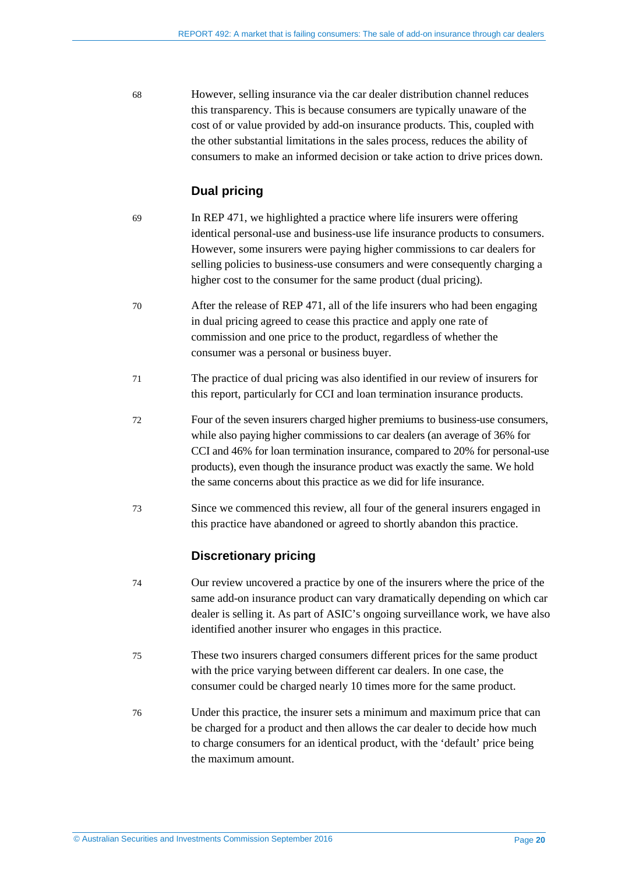68 However, selling insurance via the car dealer distribution channel reduces this transparency. This is because consumers are typically unaware of the cost of or value provided by add-on insurance products. This, coupled with the other substantial limitations in the sales process, reduces the ability of consumers to make an informed decision or take action to drive prices down.

#### **Dual pricing**

- 69 In REP 471, we highlighted a practice where life insurers were offering identical personal-use and business-use life insurance products to consumers. However, some insurers were paying higher commissions to car dealers for selling policies to business-use consumers and were consequently charging a higher cost to the consumer for the same product (dual pricing).
- 70 After the release of REP 471, all of the life insurers who had been engaging in dual pricing agreed to cease this practice and apply one rate of commission and one price to the product, regardless of whether the consumer was a personal or business buyer.
- 71 The practice of dual pricing was also identified in our review of insurers for this report, particularly for CCI and loan termination insurance products.
- 72 Four of the seven insurers charged higher premiums to business-use consumers, while also paying higher commissions to car dealers (an average of 36% for CCI and 46% for loan termination insurance, compared to 20% for personal-use products), even though the insurance product was exactly the same. We hold the same concerns about this practice as we did for life insurance.
- 73 Since we commenced this review, all four of the general insurers engaged in this practice have abandoned or agreed to shortly abandon this practice.

#### **Discretionary pricing**

- 74 Our review uncovered a practice by one of the insurers where the price of the same add-on insurance product can vary dramatically depending on which car dealer is selling it. As part of ASIC's ongoing surveillance work, we have also identified another insurer who engages in this practice.
- 75 These two insurers charged consumers different prices for the same product with the price varying between different car dealers. In one case, the consumer could be charged nearly 10 times more for the same product.
- 76 Under this practice, the insurer sets a minimum and maximum price that can be charged for a product and then allows the car dealer to decide how much to charge consumers for an identical product, with the 'default' price being the maximum amount.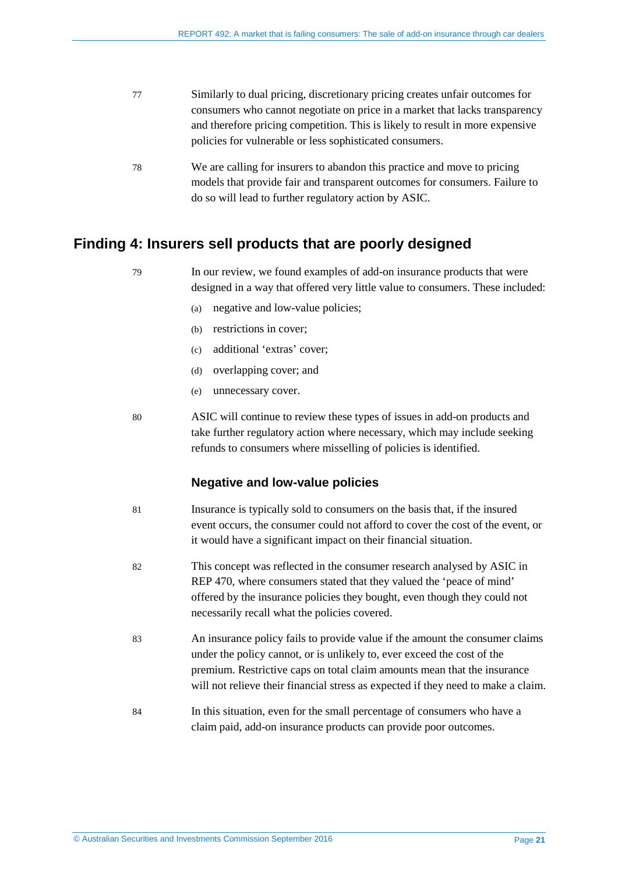<span id="page-20-2"></span><span id="page-20-1"></span>

| Similarly to dual pricing, discretionary pricing creates unfair outcomes for  |
|-------------------------------------------------------------------------------|
| consumers who cannot negotiate on price in a market that lacks transparency   |
| and therefore pricing competition. This is likely to result in more expensive |
| policies for vulnerable or less sophisticated consumers.                      |
|                                                                               |

<span id="page-20-3"></span>78 We are calling for insurers to abandon this practice and move to pricing models that provide fair and transparent outcomes for consumers. Failure to do so will lead to further regulatory action by ASIC.

#### <span id="page-20-0"></span>**Finding 4: Insurers sell products that are poorly designed**

| 79 | In our review, we found examples of add-on insurance products that were        |
|----|--------------------------------------------------------------------------------|
|    | designed in a way that offered very little value to consumers. These included: |

- (a) negative and low-value policies;
- (b) restrictions in cover;
- (c) additional 'extras' cover;
- (d) overlapping cover; and
- (e) unnecessary cover.
- 80 ASIC will continue to review these types of issues in add-on products and take further regulatory action where necessary, which may include seeking refunds to consumers where misselling of policies is identified.

#### **Negative and low-value policies**

- <span id="page-20-4"></span>81 Insurance is typically sold to consumers on the basis that, if the insured event occurs, the consumer could not afford to cover the cost of the event, or it would have a significant impact on their financial situation.
- 82 This concept was reflected in the consumer research analysed by ASIC in REP 470, where consumers stated that they valued the 'peace of mind' offered by the insurance policies they bought, even though they could not necessarily recall what the policies covered.
- 83 An insurance policy fails to provide value if the amount the consumer claims under the policy cannot, or is unlikely to, ever exceed the cost of the premium. Restrictive caps on total claim amounts mean that the insurance will not relieve their financial stress as expected if they need to make a claim.
- 84 In this situation, even for the small percentage of consumers who have a claim paid, add-on insurance products can provide poor outcomes.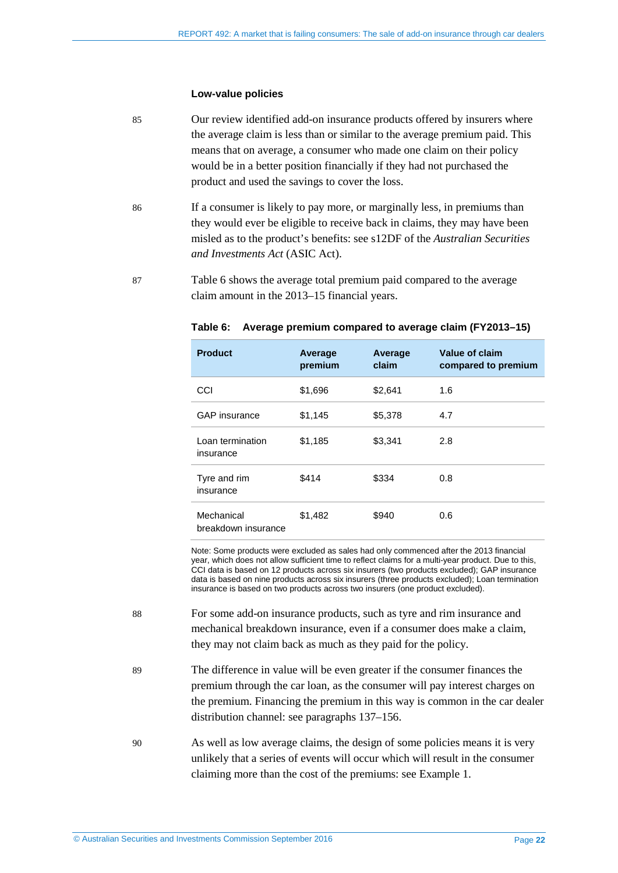#### **Low-value policies**

- 85 Our review identified add-on insurance products offered by insurers where the average claim is less than or similar to the average premium paid. This means that on average, a consumer who made one claim on their policy would be in a better position financially if they had not purchased the product and used the savings to cover the loss.
- 86 If a consumer is likely to pay more, or marginally less, in premiums than they would ever be eligible to receive back in claims, they may have been misled as to the product's benefits: see s12DF of the *Australian Securities and Investments Act* (ASIC Act).
- <span id="page-21-0"></span>87 [Table 6](#page-21-0) shows the average total premium paid compared to the average claim amount in the 2013–15 financial years.

| <b>Product</b>                    | Average<br>premium | Average<br>claim | Value of claim<br>compared to premium |
|-----------------------------------|--------------------|------------------|---------------------------------------|
| CCI                               | \$1,696            | \$2,641          | 1.6                                   |
| <b>GAP</b> insurance              | \$1,145            | \$5,378          | 4.7                                   |
| Loan termination<br>insurance     | \$1,185            | \$3,341          | 2.8                                   |
| Tyre and rim<br>insurance         | \$414              | \$334            | 0.8                                   |
| Mechanical<br>breakdown insurance | \$1,482            | \$940            | 0.6                                   |

#### **Table 6: Average premium compared to average claim (FY2013–15)**

Note: Some products were excluded as sales had only commenced after the 2013 financial year, which does not allow sufficient time to reflect claims for a multi-year product. Due to this, CCI data is based on 12 products across six insurers (two products excluded); GAP insurance data is based on nine products across six insurers (three products excluded); Loan termination insurance is based on two products across two insurers (one product excluded).

- 88 For some add-on insurance products, such as tyre and rim insurance and mechanical breakdown insurance, even if a consumer does make a claim, they may not claim back as much as they paid for the policy.
- 89 The difference in value will be even greater if the consumer finances the premium through the car loan, as the consumer will pay interest charges on the premium. Financing the premium in this way is common in the car dealer distribution channel: see paragraph[s 137](#page-28-2)[–156.](#page-30-1)
- 90 As well as low average claims, the design of some policies means it is very unlikely that a series of events will occur which will result in the consumer claiming more than the cost of the premiums: see Example 1.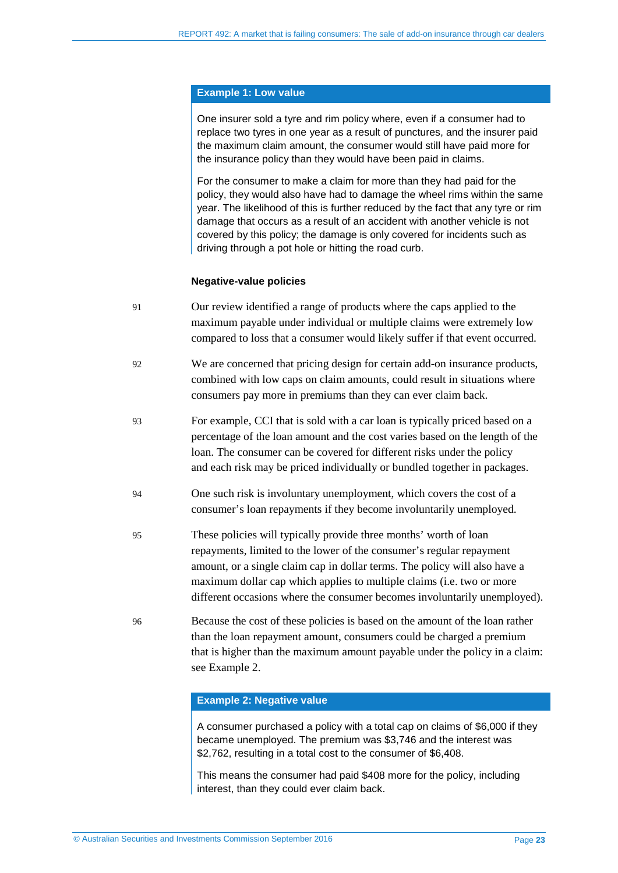#### **Example 1: Low value**

One insurer sold a tyre and rim policy where, even if a consumer had to replace two tyres in one year as a result of punctures, and the insurer paid the maximum claim amount, the consumer would still have paid more for the insurance policy than they would have been paid in claims.

For the consumer to make a claim for more than they had paid for the policy, they would also have had to damage the wheel rims within the same year. The likelihood of this is further reduced by the fact that any tyre or rim damage that occurs as a result of an accident with another vehicle is not covered by this policy; the damage is only covered for incidents such as driving through a pot hole or hitting the road curb.

#### **Negative-value policies**

| 91 | Our review identified a range of products where the caps applied to the      |
|----|------------------------------------------------------------------------------|
|    | maximum payable under individual or multiple claims were extremely low       |
|    | compared to loss that a consumer would likely suffer if that event occurred. |

- 92 We are concerned that pricing design for certain add-on insurance products, combined with low caps on claim amounts, could result in situations where consumers pay more in premiums than they can ever claim back.
- 93 For example, CCI that is sold with a car loan is typically priced based on a percentage of the loan amount and the cost varies based on the length of the loan. The consumer can be covered for different risks under the policy and each risk may be priced individually or bundled together in packages.
- 94 One such risk is involuntary unemployment, which covers the cost of a consumer's loan repayments if they become involuntarily unemployed.
- 95 These policies will typically provide three months' worth of loan repayments, limited to the lower of the consumer's regular repayment amount, or a single claim cap in dollar terms. The policy will also have a maximum dollar cap which applies to multiple claims (i.e. two or more different occasions where the consumer becomes involuntarily unemployed).
- 96 Because the cost of these policies is based on the amount of the loan rather than the loan repayment amount, consumers could be charged a premium that is higher than the maximum amount payable under the policy in a claim: see Example 2.

#### **Example 2: Negative value**

A consumer purchased a policy with a total cap on claims of \$6,000 if they became unemployed. The premium was \$3,746 and the interest was \$2,762, resulting in a total cost to the consumer of \$6,408.

This means the consumer had paid \$408 more for the policy, including interest, than they could ever claim back.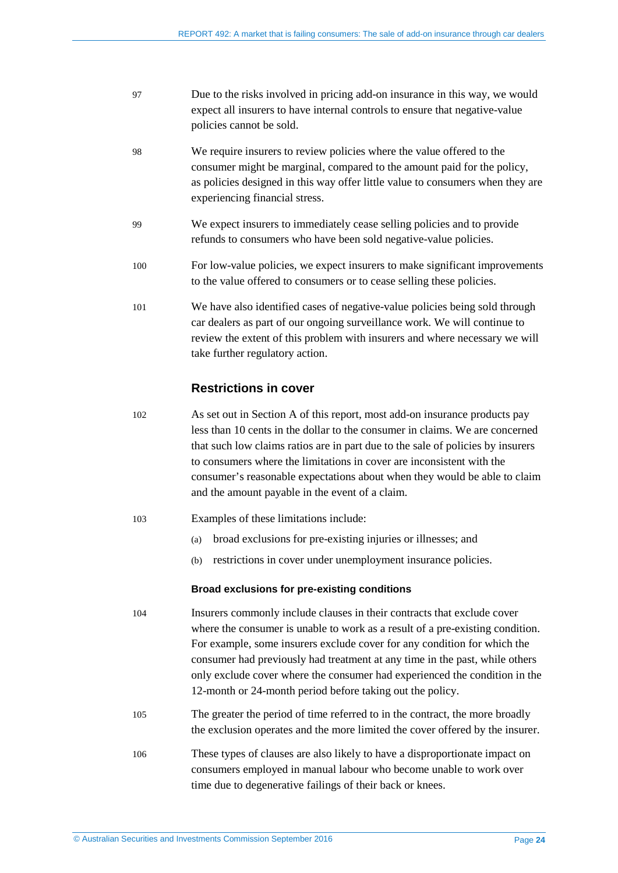| 97 | Due to the risks involved in pricing add-on insurance in this way, we would |
|----|-----------------------------------------------------------------------------|
|    | expect all insurers to have internal controls to ensure that negative-value |
|    | policies cannot be sold.                                                    |

- 98 We require insurers to review policies where the value offered to the consumer might be marginal, compared to the amount paid for the policy, as policies designed in this way offer little value to consumers when they are experiencing financial stress.
- 99 We expect insurers to immediately cease selling policies and to provide refunds to consumers who have been sold negative-value policies.
- 100 For low-value policies, we expect insurers to make significant improvements to the value offered to consumers or to cease selling these policies.
- <span id="page-23-0"></span>101 We have also identified cases of negative-value policies being sold through car dealers as part of our ongoing surveillance work. We will continue to review the extent of this problem with insurers and where necessary we will take further regulatory action.

#### **Restrictions in cover**

- 102 As set out in Section [A](#page-11-0) of this report, most add-on insurance products pay less than 10 cents in the dollar to the consumer in claims. We are concerned that such low claims ratios are in part due to the sale of policies by insurers to consumers where the limitations in cover are inconsistent with the consumer's reasonable expectations about when they would be able to claim and the amount payable in the event of a claim.
- 103 Examples of these limitations include:
	- (a) broad exclusions for pre-existing injuries or illnesses; and
	- (b) restrictions in cover under unemployment insurance policies.

#### **Broad exclusions for pre-existing conditions**

- 104 Insurers commonly include clauses in their contracts that exclude cover where the consumer is unable to work as a result of a pre-existing condition. For example, some insurers exclude cover for any condition for which the consumer had previously had treatment at any time in the past, while others only exclude cover where the consumer had experienced the condition in the 12-month or 24-month period before taking out the policy.
- 105 The greater the period of time referred to in the contract, the more broadly the exclusion operates and the more limited the cover offered by the insurer.
- 106 These types of clauses are also likely to have a disproportionate impact on consumers employed in manual labour who become unable to work over time due to degenerative failings of their back or knees.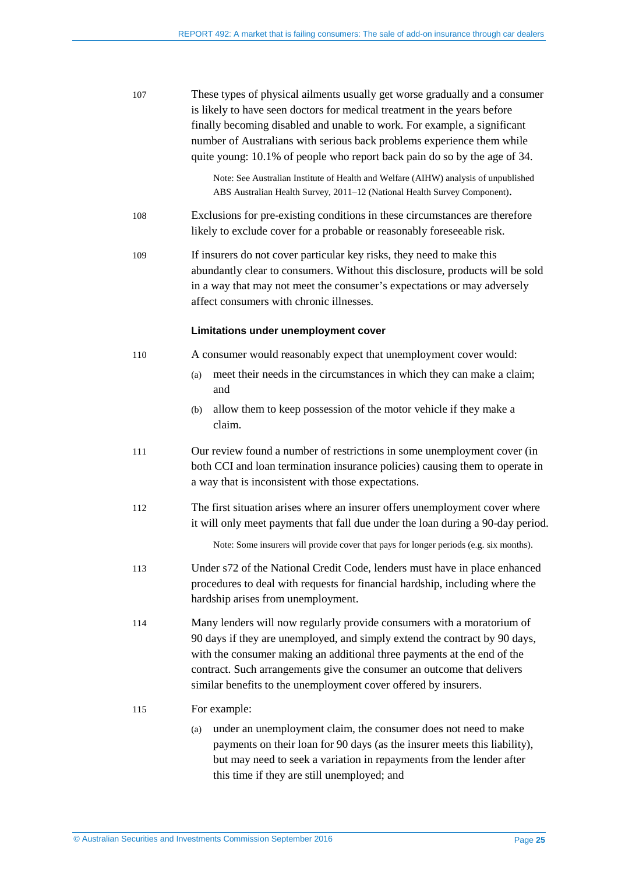| 107 | These types of physical ailments usually get worse gradually and a consumer<br>is likely to have seen doctors for medical treatment in the years before<br>finally becoming disabled and unable to work. For example, a significant<br>number of Australians with serious back problems experience them while<br>quite young: 10.1% of people who report back pain do so by the age of 34. |
|-----|--------------------------------------------------------------------------------------------------------------------------------------------------------------------------------------------------------------------------------------------------------------------------------------------------------------------------------------------------------------------------------------------|
|     | Note: See Australian Institute of Health and Welfare (AIHW) analysis of unpublished<br>ABS Australian Health Survey, 2011-12 (National Health Survey Component).                                                                                                                                                                                                                           |
| 108 | Exclusions for pre-existing conditions in these circumstances are therefore<br>likely to exclude cover for a probable or reasonably foreseeable risk.                                                                                                                                                                                                                                      |
| 109 | If insurers do not cover particular key risks, they need to make this<br>abundantly clear to consumers. Without this disclosure, products will be sold<br>in a way that may not meet the consumer's expectations or may adversely<br>affect consumers with chronic illnesses.                                                                                                              |
|     | Limitations under unemployment cover                                                                                                                                                                                                                                                                                                                                                       |
| 110 | A consumer would reasonably expect that unemployment cover would:                                                                                                                                                                                                                                                                                                                          |
|     | meet their needs in the circumstances in which they can make a claim;<br>(a)<br>and                                                                                                                                                                                                                                                                                                        |
|     | allow them to keep possession of the motor vehicle if they make a<br>(b)<br>claim.                                                                                                                                                                                                                                                                                                         |
| 111 | Our review found a number of restrictions in some unemployment cover (in<br>both CCI and loan termination insurance policies) causing them to operate in<br>a way that is inconsistent with those expectations.                                                                                                                                                                            |
| 112 | The first situation arises where an insurer offers unemployment cover where<br>it will only meet payments that fall due under the loan during a 90-day period.                                                                                                                                                                                                                             |
|     | Note: Some insurers will provide cover that pays for longer periods (e.g. six months).                                                                                                                                                                                                                                                                                                     |
| 113 | Under s72 of the National Credit Code, lenders must have in place enhanced<br>procedures to deal with requests for financial hardship, including where the<br>hardship arises from unemployment.                                                                                                                                                                                           |
| 114 | Many lenders will now regularly provide consumers with a moratorium of<br>90 days if they are unemployed, and simply extend the contract by 90 days,<br>with the consumer making an additional three payments at the end of the<br>contract. Such arrangements give the consumer an outcome that delivers<br>similar benefits to the unemployment cover offered by insurers.               |
| 115 | For example:                                                                                                                                                                                                                                                                                                                                                                               |
|     | under an unemployment claim, the consumer does not need to make<br>(a)<br>payments on their loan for 90 days (as the insurer meets this liability),<br>but may need to seek a variation in repayments from the lender after<br>this time if they are still unemployed; and                                                                                                                 |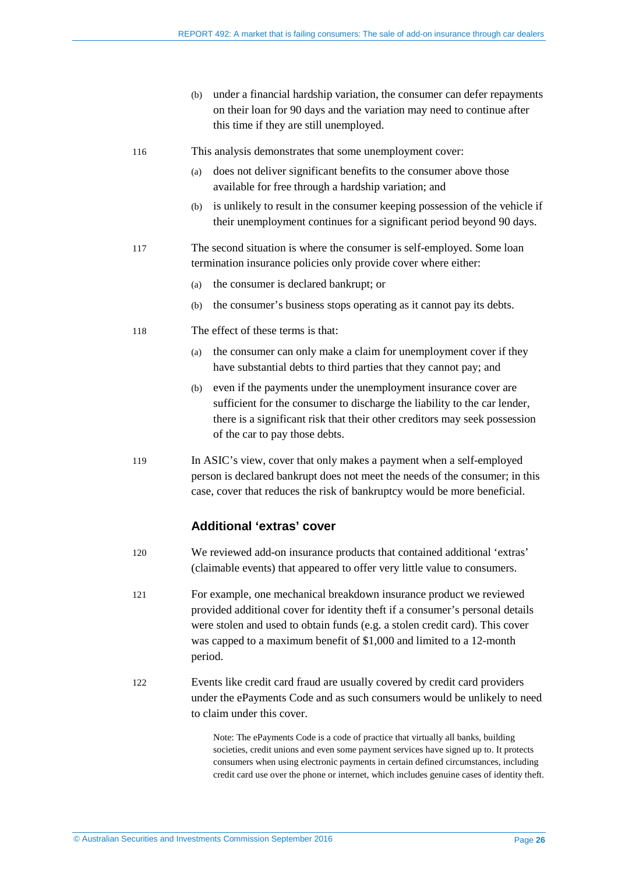(b) under a financial hardship variation, the consumer can defer repayments on their loan for 90 days and the variation may need to continue after this time if they are still unemployed.

116 This analysis demonstrates that some unemployment cover:

- (a) does not deliver significant benefits to the consumer above those available for free through a hardship variation; and
- (b) is unlikely to result in the consumer keeping possession of the vehicle if their unemployment continues for a significant period beyond 90 days.
- 117 The second situation is where the consumer is self-employed. Some loan termination insurance policies only provide cover where either:
	- (a) the consumer is declared bankrupt; or
	- (b) the consumer's business stops operating as it cannot pay its debts.
- 118 The effect of these terms is that:
	- (a) the consumer can only make a claim for unemployment cover if they have substantial debts to third parties that they cannot pay; and
	- (b) even if the payments under the unemployment insurance cover are sufficient for the consumer to discharge the liability to the car lender, there is a significant risk that their other creditors may seek possession of the car to pay those debts.
- 119 In ASIC's view, cover that only makes a payment when a self-employed person is declared bankrupt does not meet the needs of the consumer; in this case, cover that reduces the risk of bankruptcy would be more beneficial.

#### **Additional 'extras' cover**

- 120 We reviewed add-on insurance products that contained additional 'extras' (claimable events) that appeared to offer very little value to consumers.
- 121 For example, one mechanical breakdown insurance product we reviewed provided additional cover for identity theft if a consumer's personal details were stolen and used to obtain funds (e.g. a stolen credit card). This cover was capped to a maximum benefit of \$1,000 and limited to a 12-month period.
- 122 Events like credit card fraud are usually covered by credit card providers under the ePayments Code and as such consumers would be unlikely to need to claim under this cover.

Note: The ePayments Code is a code of practice that virtually all banks, building societies, credit unions and even some payment services have signed up to. It protects consumers when using electronic payments in certain defined circumstances, including credit card use over the phone or internet, which includes genuine cases of identity theft.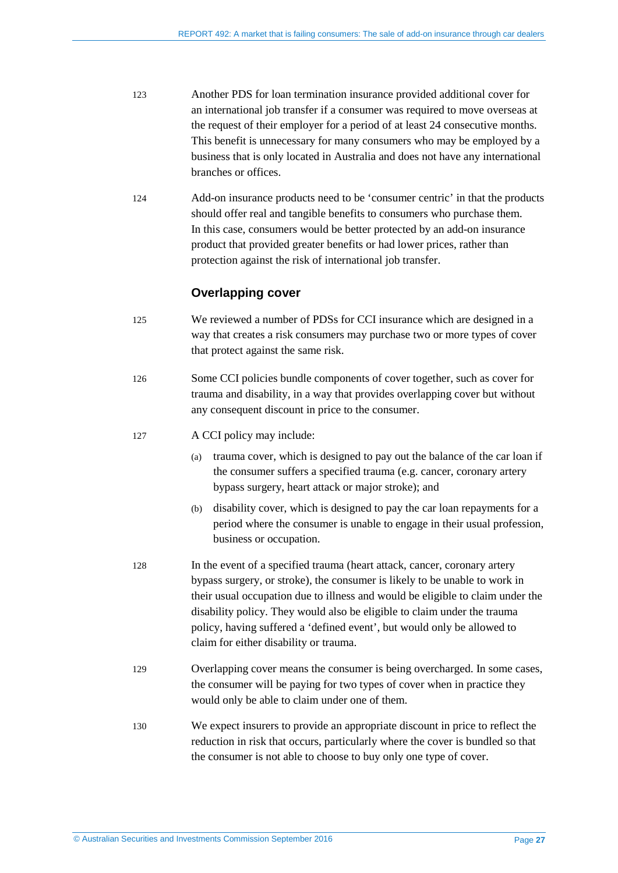- 123 Another PDS for loan termination insurance provided additional cover for an international job transfer if a consumer was required to move overseas at the request of their employer for a period of at least 24 consecutive months. This benefit is unnecessary for many consumers who may be employed by a business that is only located in Australia and does not have any international branches or offices.
- 124 Add-on insurance products need to be 'consumer centric' in that the products should offer real and tangible benefits to consumers who purchase them. In this case, consumers would be better protected by an add-on insurance product that provided greater benefits or had lower prices, rather than protection against the risk of international job transfer.

#### **Overlapping cover**

- 125 We reviewed a number of PDSs for CCI insurance which are designed in a way that creates a risk consumers may purchase two or more types of cover that protect against the same risk.
- 126 Some CCI policies bundle components of cover together, such as cover for trauma and disability, in a way that provides overlapping cover but without any consequent discount in price to the consumer.
- 127 A CCI policy may include:
	- (a) trauma cover, which is designed to pay out the balance of the car loan if the consumer suffers a specified trauma (e.g. cancer, coronary artery bypass surgery, heart attack or major stroke); and
	- (b) disability cover, which is designed to pay the car loan repayments for a period where the consumer is unable to engage in their usual profession, business or occupation.
- 128 In the event of a specified trauma (heart attack, cancer, coronary artery bypass surgery, or stroke), the consumer is likely to be unable to work in their usual occupation due to illness and would be eligible to claim under the disability policy. They would also be eligible to claim under the trauma policy, having suffered a 'defined event', but would only be allowed to claim for either disability or trauma.
- 129 Overlapping cover means the consumer is being overcharged. In some cases, the consumer will be paying for two types of cover when in practice they would only be able to claim under one of them.
- 130 We expect insurers to provide an appropriate discount in price to reflect the reduction in risk that occurs, particularly where the cover is bundled so that the consumer is not able to choose to buy only one type of cover.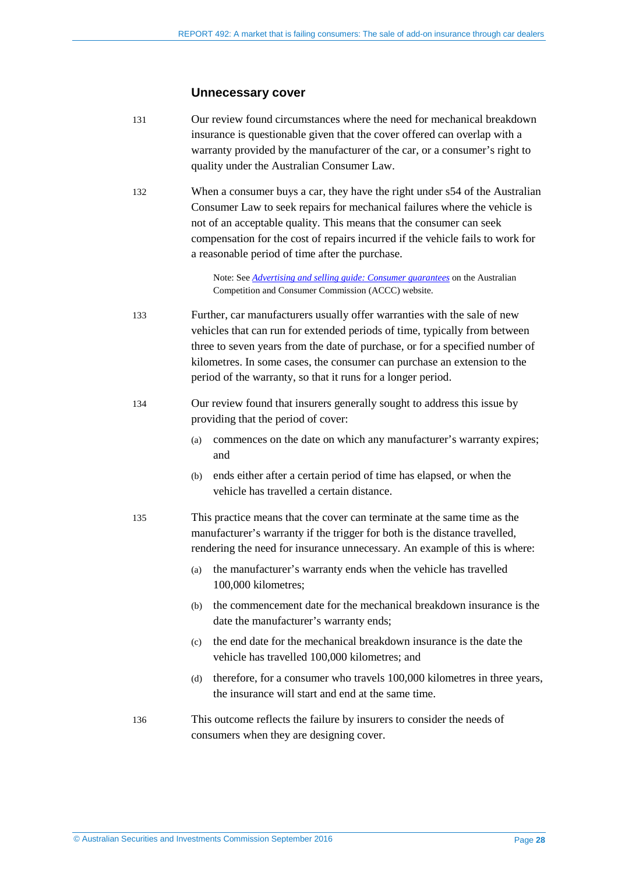#### **Unnecessary cover**

- <span id="page-27-1"></span>131 Our review found circumstances where the need for mechanical breakdown insurance is questionable given that the cover offered can overlap with a warranty provided by the manufacturer of the car, or a consumer's right to quality under the Australian Consumer Law.
- 132 When a consumer buys a car, they have the right under s54 of the Australian Consumer Law to seek repairs for mechanical failures where the vehicle is not of an acceptable quality. This means that the consumer can seek compensation for the cost of repairs incurred if the vehicle fails to work for a reasonable period of time after the purchase.

Note: See *Advertising and selling [guide: Consumer guarantees](http://www.accc.gov.au/publications/advertising-selling/advertising-and-selling-guide/consumer-guarantees)* on the Australian Competition and Consumer Commission (ACCC) website.

- 133 Further, car manufacturers usually offer warranties with the sale of new vehicles that can run for extended periods of time, typically from between three to seven years from the date of purchase, or for a specified number of kilometres. In some cases, the consumer can purchase an extension to the period of the warranty, so that it runs for a longer period.
- <span id="page-27-0"></span>134 Our review found that insurers generally sought to address this issue by providing that the period of cover:
	- (a) commences on the date on which any manufacturer's warranty expires; and
	- (b) ends either after a certain period of time has elapsed, or when the vehicle has travelled a certain distance.
- 135 This practice means that the cover can terminate at the same time as the manufacturer's warranty if the trigger for both is the distance travelled, rendering the need for insurance unnecessary. An example of this is where:
	- (a) the manufacturer's warranty ends when the vehicle has travelled 100,000 kilometres;
	- (b) the commencement date for the mechanical breakdown insurance is the date the manufacturer's warranty ends;
	- (c) the end date for the mechanical breakdown insurance is the date the vehicle has travelled 100,000 kilometres; and
	- (d) therefore, for a consumer who travels 100,000 kilometres in three years, the insurance will start and end at the same time.
- <span id="page-27-2"></span>136 This outcome reflects the failure by insurers to consider the needs of consumers when they are designing cover.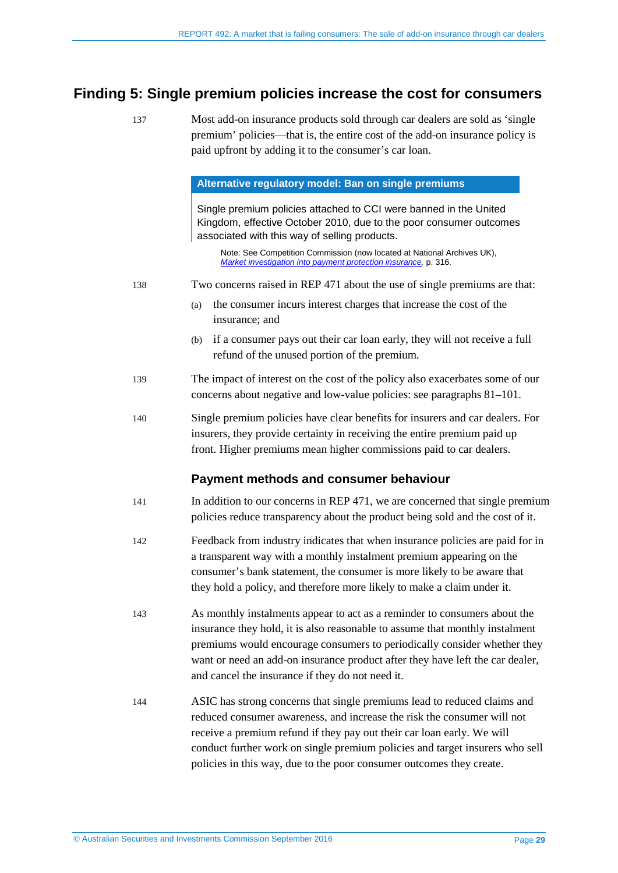#### <span id="page-28-2"></span><span id="page-28-1"></span><span id="page-28-0"></span>**Finding 5: Single premium policies increase the cost for consumers**

137 Most add-on insurance products sold through car dealers are sold as 'single premium' policies—that is, the entire cost of the add-on insurance policy is paid upfront by adding it to the consumer's car loan.

#### **Alternative regulatory model: Ban on single premiums**

Single premium policies attached to CCI were banned in the United Kingdom, effective October 2010, due to the poor consumer outcomes associated with this way of selling products.

Note: See Competition Commission (now located at National Archives UK), *[Market investigation into payment protection insurance,](http://webarchive.nationalarchives.gov.uk/20101109091748/http:/www.competition-commission.org.uk/rep_pub/reports/2009/fulltext/542.pdf)* p. 316.

- 138 Two concerns raised in REP 471 about the use of single premiums are that:
	- (a) the consumer incurs interest charges that increase the cost of the insurance; and
	- (b) if a consumer pays out their car loan early, they will not receive a full refund of the unused portion of the premium.
- 139 The impact of interest on the cost of the policy also exacerbates some of our concerns about negative and low-value policies: see paragraphs [81–](#page-20-4)[101.](#page-23-0)
- 140 Single premium policies have clear benefits for insurers and car dealers. For insurers, they provide certainty in receiving the entire premium paid up front. Higher premiums mean higher commissions paid to car dealers.

#### **Payment methods and consumer behaviour**

- 141 In addition to our concerns in REP 471, we are concerned that single premium policies reduce transparency about the product being sold and the cost of it.
- 142 Feedback from industry indicates that when insurance policies are paid for in a transparent way with a monthly instalment premium appearing on the consumer's bank statement, the consumer is more likely to be aware that they hold a policy, and therefore more likely to make a claim under it.
- 143 As monthly instalments appear to act as a reminder to consumers about the insurance they hold, it is also reasonable to assume that monthly instalment premiums would encourage consumers to periodically consider whether they want or need an add-on insurance product after they have left the car dealer, and cancel the insurance if they do not need it.
- 144 ASIC has strong concerns that single premiums lead to reduced claims and reduced consumer awareness, and increase the risk the consumer will not receive a premium refund if they pay out their car loan early. We will conduct further work on single premium policies and target insurers who sell policies in this way, due to the poor consumer outcomes they create.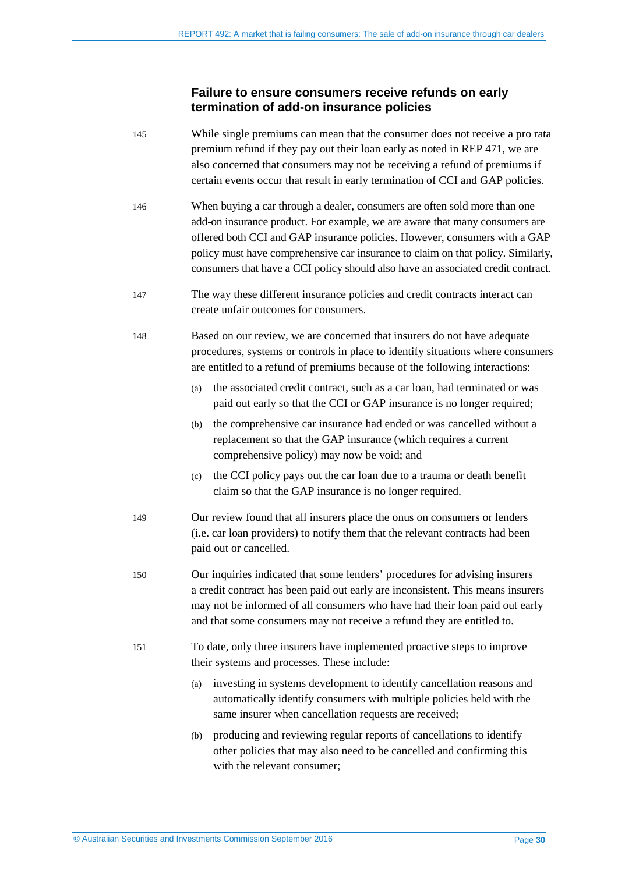#### **Failure to ensure consumers receive refunds on early termination of add-on insurance policies**

- 145 While single premiums can mean that the consumer does not receive a pro rata premium refund if they pay out their loan early as noted in REP 471, we are also concerned that consumers may not be receiving a refund of premiums if certain events occur that result in early termination of CCI and GAP policies.
- 146 When buying a car through a dealer, consumers are often sold more than one add-on insurance product. For example, we are aware that many consumers are offered both CCI and GAP insurance policies. However, consumers with a GAP policy must have comprehensive car insurance to claim on that policy. Similarly, consumers that have a CCI policy should also have an associated credit contract.
- 147 The way these different insurance policies and credit contracts interact can create unfair outcomes for consumers.
- 148 Based on our review, we are concerned that insurers do not have adequate procedures, systems or controls in place to identify situations where consumers are entitled to a refund of premiums because of the following interactions:
	- (a) the associated credit contract, such as a car loan, had terminated or was paid out early so that the CCI or GAP insurance is no longer required;
	- (b) the comprehensive car insurance had ended or was cancelled without a replacement so that the GAP insurance (which requires a current comprehensive policy) may now be void; and
	- (c) the CCI policy pays out the car loan due to a trauma or death benefit claim so that the GAP insurance is no longer required.
- 149 Our review found that all insurers place the onus on consumers or lenders (i.e. car loan providers) to notify them that the relevant contracts had been paid out or cancelled.
- 150 Our inquiries indicated that some lenders' procedures for advising insurers a credit contract has been paid out early are inconsistent. This means insurers may not be informed of all consumers who have had their loan paid out early and that some consumers may not receive a refund they are entitled to.
- 151 To date, only three insurers have implemented proactive steps to improve their systems and processes. These include:
	- (a) investing in systems development to identify cancellation reasons and automatically identify consumers with multiple policies held with the same insurer when cancellation requests are received;
	- (b) producing and reviewing regular reports of cancellations to identify other policies that may also need to be cancelled and confirming this with the relevant consumer: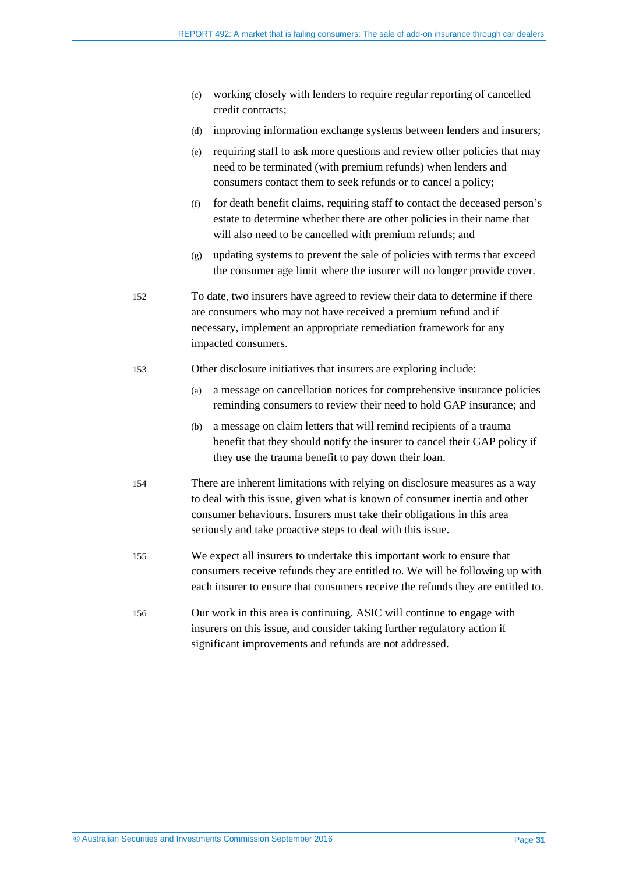- (c) working closely with lenders to require regular reporting of cancelled credit contracts;
- (d) improving information exchange systems between lenders and insurers;
- (e) requiring staff to ask more questions and review other policies that may need to be terminated (with premium refunds) when lenders and consumers contact them to seek refunds or to cancel a policy;
- (f) for death benefit claims, requiring staff to contact the deceased person's estate to determine whether there are other policies in their name that will also need to be cancelled with premium refunds; and
- (g) updating systems to prevent the sale of policies with terms that exceed the consumer age limit where the insurer will no longer provide cover.
- 152 To date, two insurers have agreed to review their data to determine if there are consumers who may not have received a premium refund and if necessary, implement an appropriate remediation framework for any impacted consumers.
- <span id="page-30-0"></span>153 Other disclosure initiatives that insurers are exploring include:
	- (a) a message on cancellation notices for comprehensive insurance policies reminding consumers to review their need to hold GAP insurance; and
	- (b) a message on claim letters that will remind recipients of a trauma benefit that they should notify the insurer to cancel their GAP policy if they use the trauma benefit to pay down their loan.
- 154 There are inherent limitations with relying on disclosure measures as a way to deal with this issue, given what is known of consumer inertia and other consumer behaviours. Insurers must take their obligations in this area seriously and take proactive steps to deal with this issue.
- 155 We expect all insurers to undertake this important work to ensure that consumers receive refunds they are entitled to. We will be following up with each insurer to ensure that consumers receive the refunds they are entitled to.
- <span id="page-30-1"></span>156 Our work in this area is continuing. ASIC will continue to engage with insurers on this issue, and consider taking further regulatory action if significant improvements and refunds are not addressed.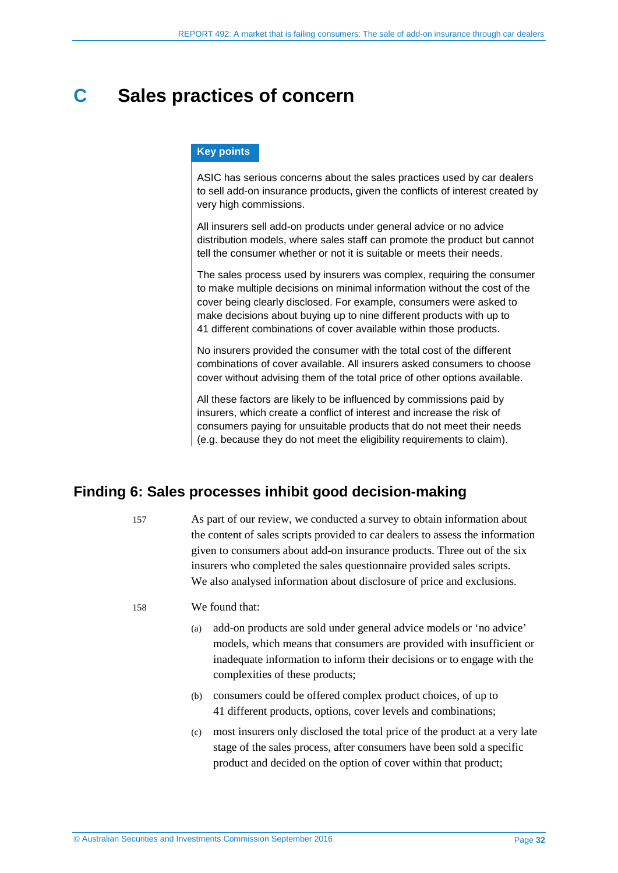## <span id="page-31-2"></span><span id="page-31-0"></span>**C Sales practices of concern**

#### **Key points**

ASIC has serious concerns about the sales practices used by car dealers to sell add-on insurance products, given the conflicts of interest created by very high commissions.

All insurers sell add-on products under general advice or no advice distribution models, where sales staff can promote the product but cannot tell the consumer whether or not it is suitable or meets their needs.

The sales process used by insurers was complex, requiring the consumer to make multiple decisions on minimal information without the cost of the cover being clearly disclosed. For example, consumers were asked to make decisions about buying up to nine different products with up to 41 different combinations of cover available within those products.

No insurers provided the consumer with the total cost of the different combinations of cover available. All insurers asked consumers to choose cover without advising them of the total price of other options available.

All these factors are likely to be influenced by commissions paid by insurers, which create a conflict of interest and increase the risk of consumers paying for unsuitable products that do not meet their needs (e.g. because they do not meet the eligibility requirements to claim).

#### <span id="page-31-1"></span>**Finding 6: Sales processes inhibit good decision-making**

157 As part of our review, we conducted a survey to obtain information about the content of sales scripts provided to car dealers to assess the information given to consumers about add-on insurance products. Three out of the six insurers who completed the sales questionnaire provided sales scripts. We also analysed information about disclosure of price and exclusions.

- 158 We found that:
	- (a) add-on products are sold under general advice models or 'no advice' models, which means that consumers are provided with insufficient or inadequate information to inform their decisions or to engage with the complexities of these products;
	- (b) consumers could be offered complex product choices, of up to 41 different products, options, cover levels and combinations;
	- (c) most insurers only disclosed the total price of the product at a very late stage of the sales process, after consumers have been sold a specific product and decided on the option of cover within that product;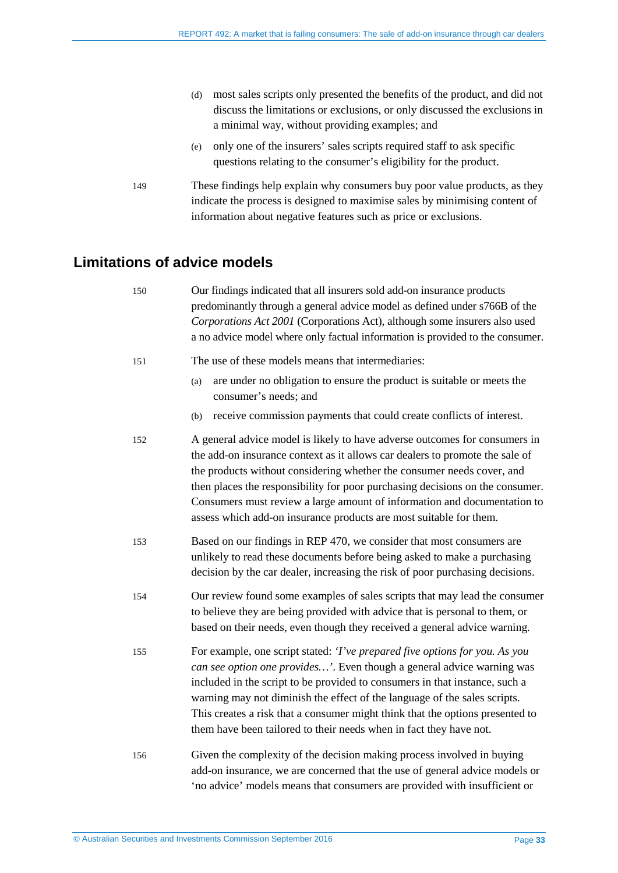- (d) most sales scripts only presented the benefits of the product, and did not discuss the limitations or exclusions, or only discussed the exclusions in a minimal way, without providing examples; and
- (e) only one of the insurers' sales scripts required staff to ask specific questions relating to the consumer's eligibility for the product.
- 149 These findings help explain why consumers buy poor value products, as they indicate the process is designed to maximise sales by minimising content of information about negative features such as price or exclusions.

#### <span id="page-32-0"></span>**Limitations of advice models**

150 Our findings indicated that all insurers sold add-on insurance products predominantly through a general advice model as defined under s766B of the *Corporations Act 2001* (Corporations Act), although some insurers also used a no advice model where only factual information is provided to the consumer. 151 The use of these models means that intermediaries: (a) are under no obligation to ensure the product is suitable or meets the consumer's needs; and (b) receive commission payments that could create conflicts of interest. 152 A general advice model is likely to have adverse outcomes for consumers in the add-on insurance context as it allows car dealers to promote the sale of the products without considering whether the consumer needs cover, and then places the responsibility for poor purchasing decisions on the consumer. Consumers must review a large amount of information and documentation to assess which add-on insurance products are most suitable for them. 153 Based on our findings in REP 470, we consider that most consumers are unlikely to read these documents before being asked to make a purchasing decision by the car dealer, increasing the risk of poor purchasing decisions. 154 Our review found some examples of sales scripts that may lead the consumer to believe they are being provided with advice that is personal to them, or based on their needs, even though they received a general advice warning. 155 For example, one script stated: *'I've prepared five options for you. As you can see option one provides…'*. Even though a general advice warning was included in the script to be provided to consumers in that instance, such a warning may not diminish the effect of the language of the sales scripts. This creates a risk that a consumer might think that the options presented to them have been tailored to their needs when in fact they have not. 156 Given the complexity of the decision making process involved in buying add-on insurance, we are concerned that the use of general advice models or 'no advice' models means that consumers are provided with insufficient or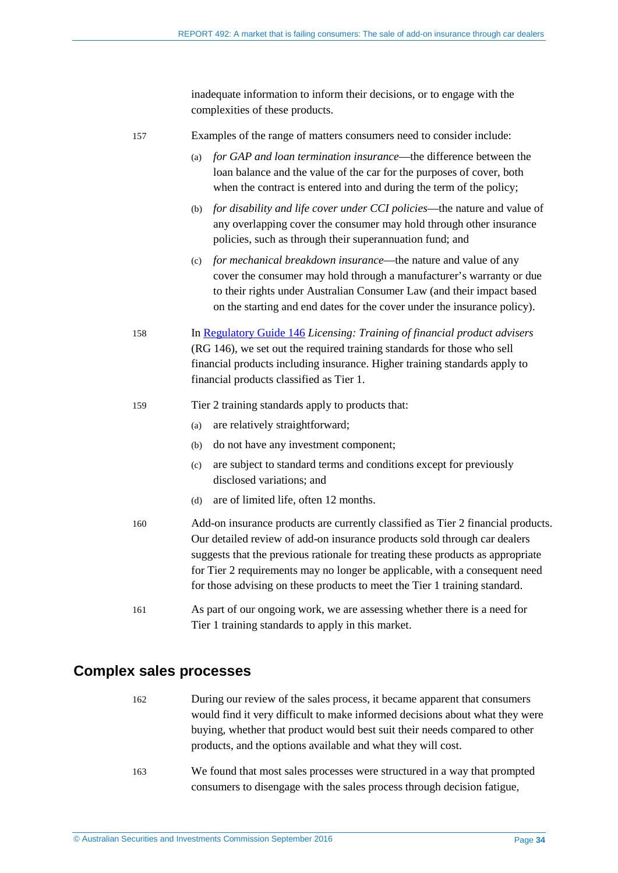inadequate information to inform their decisions, or to engage with the complexities of these products.

| 157 | Examples of the range of matters consumers need to consider include:                                                                                                                                                                                                                                                                                                                                          |
|-----|---------------------------------------------------------------------------------------------------------------------------------------------------------------------------------------------------------------------------------------------------------------------------------------------------------------------------------------------------------------------------------------------------------------|
|     | for GAP and loan termination insurance—the difference between the<br>(a)<br>loan balance and the value of the car for the purposes of cover, both<br>when the contract is entered into and during the term of the policy;                                                                                                                                                                                     |
|     | for disability and life cover under CCI policies—the nature and value of<br>(b)<br>any overlapping cover the consumer may hold through other insurance<br>policies, such as through their superannuation fund; and                                                                                                                                                                                            |
|     | for mechanical breakdown insurance—the nature and value of any<br>(c)<br>cover the consumer may hold through a manufacturer's warranty or due<br>to their rights under Australian Consumer Law (and their impact based<br>on the starting and end dates for the cover under the insurance policy).                                                                                                            |
| 158 | In Regulatory Guide 146 Licensing: Training of financial product advisers<br>(RG 146), we set out the required training standards for those who sell<br>financial products including insurance. Higher training standards apply to<br>financial products classified as Tier 1.                                                                                                                                |
| 159 | Tier 2 training standards apply to products that:                                                                                                                                                                                                                                                                                                                                                             |
|     | are relatively straightforward;<br>(a)                                                                                                                                                                                                                                                                                                                                                                        |
|     | do not have any investment component;<br>(b)                                                                                                                                                                                                                                                                                                                                                                  |
|     | are subject to standard terms and conditions except for previously<br>(c)<br>disclosed variations; and                                                                                                                                                                                                                                                                                                        |
|     | are of limited life, often 12 months.<br>(d)                                                                                                                                                                                                                                                                                                                                                                  |
| 160 | Add-on insurance products are currently classified as Tier 2 financial products.<br>Our detailed review of add-on insurance products sold through car dealers<br>suggests that the previous rationale for treating these products as appropriate<br>for Tier 2 requirements may no longer be applicable, with a consequent need<br>for those advising on these products to meet the Tier 1 training standard. |
| 161 | As part of our ongoing work, we are assessing whether there is a need for<br>Tier 1 training standards to apply in this market.                                                                                                                                                                                                                                                                               |
|     |                                                                                                                                                                                                                                                                                                                                                                                                               |

#### <span id="page-33-0"></span>**Complex sales processes**

- 162 During our review of the sales process, it became apparent that consumers would find it very difficult to make informed decisions about what they were buying, whether that product would best suit their needs compared to other products, and the options available and what they will cost.
- 163 We found that most sales processes were structured in a way that prompted consumers to disengage with the sales process through decision fatigue,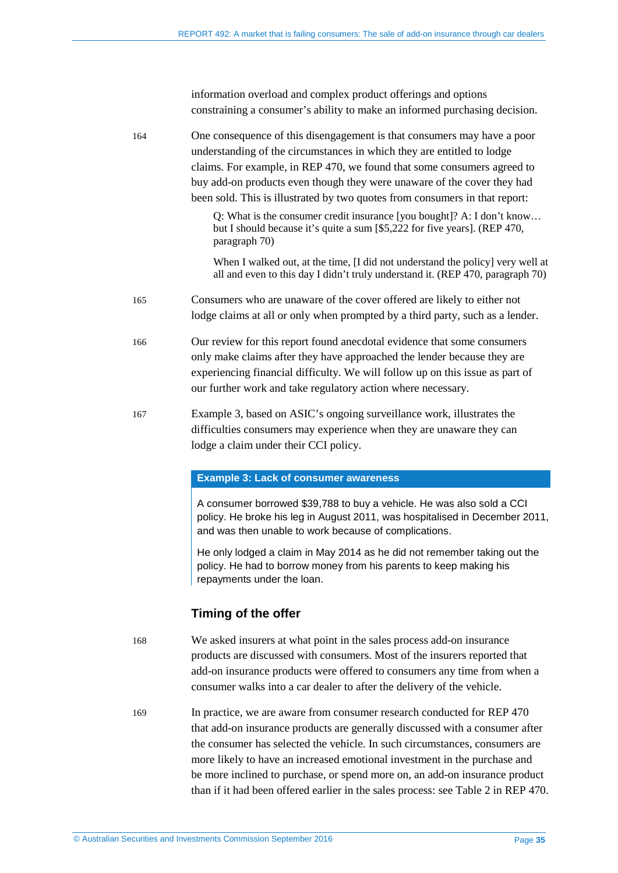information overload and complex product offerings and options constraining a consumer's ability to make an informed purchasing decision.

164 One consequence of this disengagement is that consumers may have a poor understanding of the circumstances in which they are entitled to lodge claims. For example, in REP 470, we found that some consumers agreed to buy add-on products even though they were unaware of the cover they had been sold. This is illustrated by two quotes from consumers in that report:

> Q: What is the consumer credit insurance [you bought]? A: I don't know… but I should because it's quite a sum [\$5,222 for five years]. (REP 470, paragraph 70)

When I walked out, at the time, II did not understand the policy] very well at all and even to this day I didn't truly understand it. (REP 470, paragraph 70)

- 165 Consumers who are unaware of the cover offered are likely to either not lodge claims at all or only when prompted by a third party, such as a lender.
- 166 Our review for this report found anecdotal evidence that some consumers only make claims after they have approached the lender because they are experiencing financial difficulty. We will follow up on this issue as part of our further work and take regulatory action where necessary.
- 167 Example 3, based on ASIC's ongoing surveillance work, illustrates the difficulties consumers may experience when they are unaware they can lodge a claim under their CCI policy.

#### **Example 3: Lack of consumer awareness**

A consumer borrowed \$39,788 to buy a vehicle. He was also sold a CCI policy. He broke his leg in August 2011, was hospitalised in December 2011, and was then unable to work because of complications.

He only lodged a claim in May 2014 as he did not remember taking out the policy. He had to borrow money from his parents to keep making his repayments under the loan.

#### **Timing of the offer**

168 We asked insurers at what point in the sales process add-on insurance products are discussed with consumers. Most of the insurers reported that add-on insurance products were offered to consumers any time from when a consumer walks into a car dealer to after the delivery of the vehicle.

169 In practice, we are aware from consumer research conducted for REP 470 that add-on insurance products are generally discussed with a consumer after the consumer has selected the vehicle. In such circumstances, consumers are more likely to have an increased emotional investment in the purchase and be more inclined to purchase, or spend more on, an add-on insurance product than if it had been offered earlier in the sales process: see Table 2 in REP 470.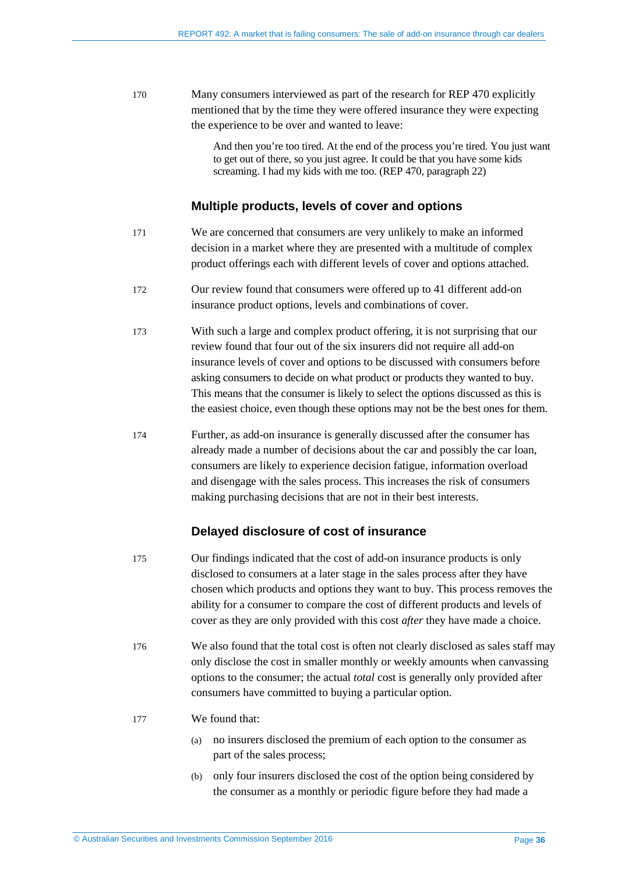170 Many consumers interviewed as part of the research for REP 470 explicitly mentioned that by the time they were offered insurance they were expecting the experience to be over and wanted to leave:

> And then you're too tired. At the end of the process you're tired. You just want to get out of there, so you just agree. It could be that you have some kids screaming. I had my kids with me too. (REP 470, paragraph 22)

#### **Multiple products, levels of cover and options**

- 171 We are concerned that consumers are very unlikely to make an informed decision in a market where they are presented with a multitude of complex product offerings each with different levels of cover and options attached.
- 172 Our review found that consumers were offered up to 41 different add-on insurance product options, levels and combinations of cover.
- 173 With such a large and complex product offering, it is not surprising that our review found that four out of the six insurers did not require all add-on insurance levels of cover and options to be discussed with consumers before asking consumers to decide on what product or products they wanted to buy. This means that the consumer is likely to select the options discussed as this is the easiest choice, even though these options may not be the best ones for them.
- 174 Further, as add-on insurance is generally discussed after the consumer has already made a number of decisions about the car and possibly the car loan, consumers are likely to experience decision fatigue, information overload and disengage with the sales process. This increases the risk of consumers making purchasing decisions that are not in their best interests.

#### **Delayed disclosure of cost of insurance**

- 175 Our findings indicated that the cost of add-on insurance products is only disclosed to consumers at a later stage in the sales process after they have chosen which products and options they want to buy. This process removes the ability for a consumer to compare the cost of different products and levels of cover as they are only provided with this cost *after* they have made a choice.
- 176 We also found that the total cost is often not clearly disclosed as sales staff may only disclose the cost in smaller monthly or weekly amounts when canvassing options to the consumer; the actual *total* cost is generally only provided after consumers have committed to buying a particular option.
- 177 We found that:
	- (a) no insurers disclosed the premium of each option to the consumer as part of the sales process;
	- (b) only four insurers disclosed the cost of the option being considered by the consumer as a monthly or periodic figure before they had made a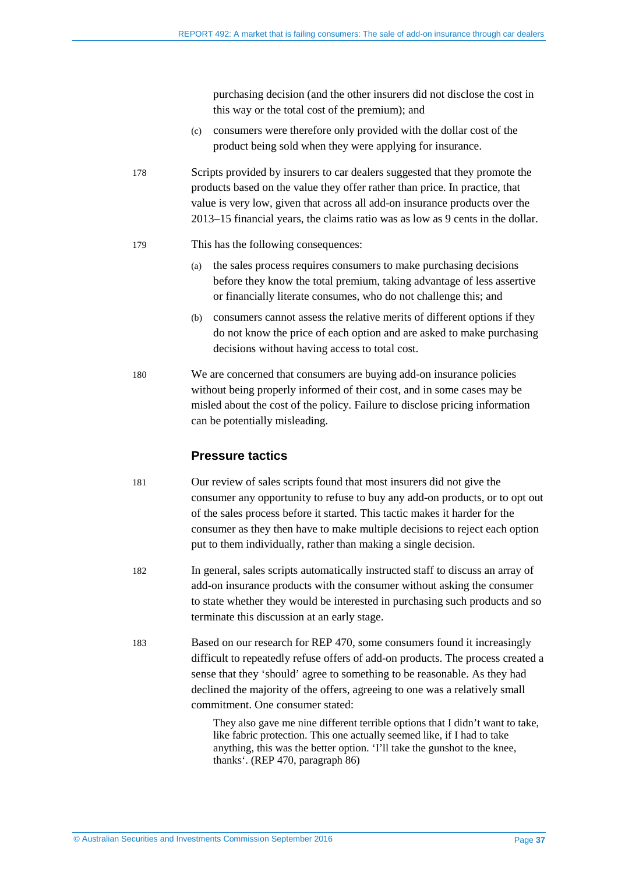purchasing decision (and the other insurers did not disclose the cost in this way or the total cost of the premium); and

- (c) consumers were therefore only provided with the dollar cost of the product being sold when they were applying for insurance.
- 178 Scripts provided by insurers to car dealers suggested that they promote the products based on the value they offer rather than price. In practice, that value is very low, given that across all add-on insurance products over the 2013–15 financial years, the claims ratio was as low as 9 cents in the dollar.
- 179 This has the following consequences:
	- (a) the sales process requires consumers to make purchasing decisions before they know the total premium, taking advantage of less assertive or financially literate consumes, who do not challenge this; and
	- (b) consumers cannot assess the relative merits of different options if they do not know the price of each option and are asked to make purchasing decisions without having access to total cost.
- 180 We are concerned that consumers are buying add-on insurance policies without being properly informed of their cost, and in some cases may be misled about the cost of the policy. Failure to disclose pricing information can be potentially misleading.

#### **Pressure tactics**

- 181 Our review of sales scripts found that most insurers did not give the consumer any opportunity to refuse to buy any add-on products, or to opt out of the sales process before it started. This tactic makes it harder for the consumer as they then have to make multiple decisions to reject each option put to them individually, rather than making a single decision.
- 182 In general, sales scripts automatically instructed staff to discuss an array of add-on insurance products with the consumer without asking the consumer to state whether they would be interested in purchasing such products and so terminate this discussion at an early stage.
- 183 Based on our research for REP 470, some consumers found it increasingly difficult to repeatedly refuse offers of add-on products. The process created a sense that they 'should' agree to something to be reasonable. As they had declined the majority of the offers, agreeing to one was a relatively small commitment. One consumer stated:

They also gave me nine different terrible options that I didn't want to take, like fabric protection. This one actually seemed like, if I had to take anything, this was the better option. 'I'll take the gunshot to the knee, thanks'. (REP 470, paragraph 86)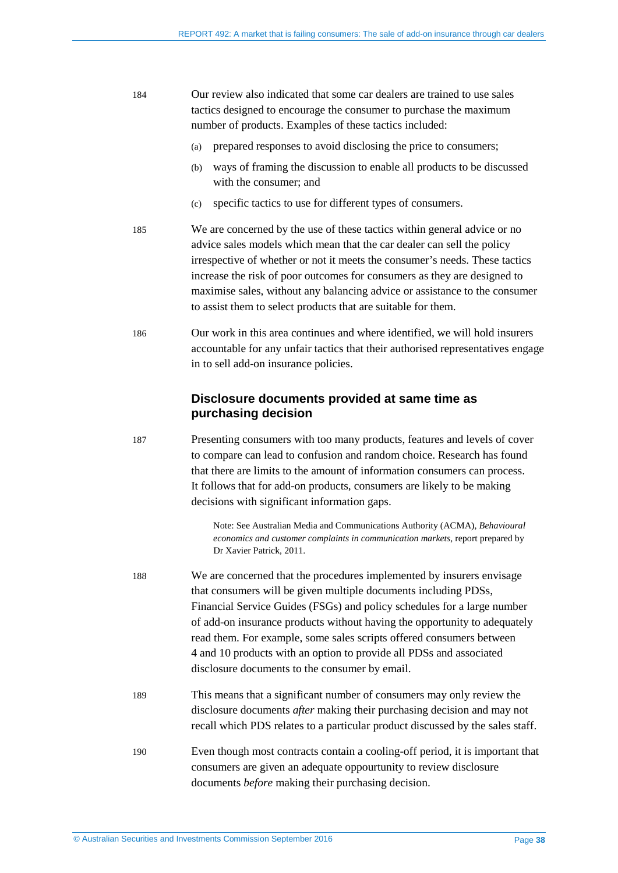| 184 | Our review also indicated that some car dealers are trained to use sales |
|-----|--------------------------------------------------------------------------|
|     | tactics designed to encourage the consumer to purchase the maximum       |
|     | number of products. Examples of these tactics included:                  |

- (a) prepared responses to avoid disclosing the price to consumers;
- (b) ways of framing the discussion to enable all products to be discussed with the consumer; and
- (c) specific tactics to use for different types of consumers.
- 185 We are concerned by the use of these tactics within general advice or no advice sales models which mean that the car dealer can sell the policy irrespective of whether or not it meets the consumer's needs. These tactics increase the risk of poor outcomes for consumers as they are designed to maximise sales, without any balancing advice or assistance to the consumer to assist them to select products that are suitable for them.
- 186 Our work in this area continues and where identified, we will hold insurers accountable for any unfair tactics that their authorised representatives engage in to sell add-on insurance policies.

#### **Disclosure documents provided at same time as purchasing decision**

187 Presenting consumers with too many products, features and levels of cover to compare can lead to confusion and random choice. Research has found that there are limits to the amount of information consumers can process. It follows that for add-on products, consumers are likely to be making decisions with significant information gaps.

> Note: See Australian Media and Communications Authority (ACMA), *Behavioural economics and customer complaints in communication markets*, report prepared by Dr Xavier Patrick, 2011.

- 188 We are concerned that the procedures implemented by insurers envisage that consumers will be given multiple documents including PDSs, Financial Service Guides (FSGs) and policy schedules for a large number of add-on insurance products without having the opportunity to adequately read them. For example, some sales scripts offered consumers between 4 and 10 products with an option to provide all PDSs and associated disclosure documents to the consumer by email.
- 189 This means that a significant number of consumers may only review the disclosure documents *after* making their purchasing decision and may not recall which PDS relates to a particular product discussed by the sales staff.
- 190 Even though most contracts contain a cooling-off period, it is important that consumers are given an adequate oppourtunity to review disclosure documents *before* making their purchasing decision.

© Australian Securities and Investments Commission September 2016 Page **38**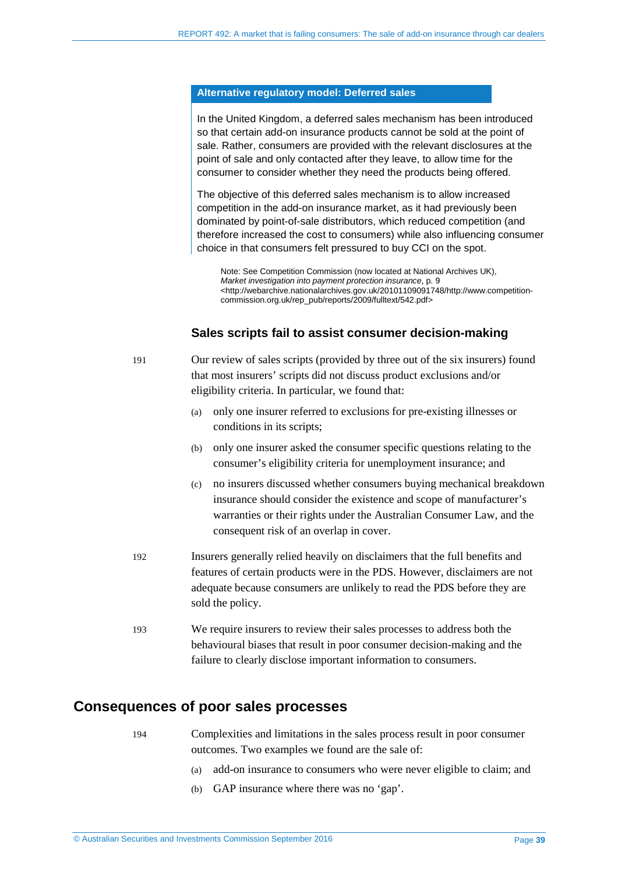#### **Alternative regulatory model: Deferred sales**

In the United Kingdom, a deferred sales mechanism has been introduced so that certain add-on insurance products cannot be sold at the point of sale. Rather, consumers are provided with the relevant disclosures at the point of sale and only contacted after they leave, to allow time for the consumer to consider whether they need the products being offered.

The objective of this deferred sales mechanism is to allow increased competition in the add-on insurance market, as it had previously been dominated by point-of-sale distributors, which reduced competition (and therefore increased the cost to consumers) while also influencing consumer choice in that consumers felt pressured to buy CCI on the spot.

Note: See Competition Commission (now located at National Archives UK), *Market investigation into payment protection insurance*, p. 9 <http://webarchive.nationalarchives.gov.uk/20101109091748/http://www.competitioncommission.org.uk/rep\_pub/reports/2009/fulltext/542.pdf>

#### **Sales scripts fail to assist consumer decision-making**

- 191 Our review of sales scripts (provided by three out of the six insurers) found that most insurers' scripts did not discuss product exclusions and/or eligibility criteria. In particular, we found that:
	- (a) only one insurer referred to exclusions for pre-existing illnesses or conditions in its scripts;
	- (b) only one insurer asked the consumer specific questions relating to the consumer's eligibility criteria for unemployment insurance; and
	- (c) no insurers discussed whether consumers buying mechanical breakdown insurance should consider the existence and scope of manufacturer's warranties or their rights under the Australian Consumer Law, and the consequent risk of an overlap in cover.
- 192 Insurers generally relied heavily on disclaimers that the full benefits and features of certain products were in the PDS. However, disclaimers are not adequate because consumers are unlikely to read the PDS before they are sold the policy.
- 193 We require insurers to review their sales processes to address both the behavioural biases that result in poor consumer decision-making and the failure to clearly disclose important information to consumers.

#### <span id="page-38-0"></span>**Consequences of poor sales processes**

194 Complexities and limitations in the sales process result in poor consumer outcomes. Two examples we found are the sale of:

- (a) add-on insurance to consumers who were never eligible to claim; and
- (b) GAP insurance where there was no 'gap'.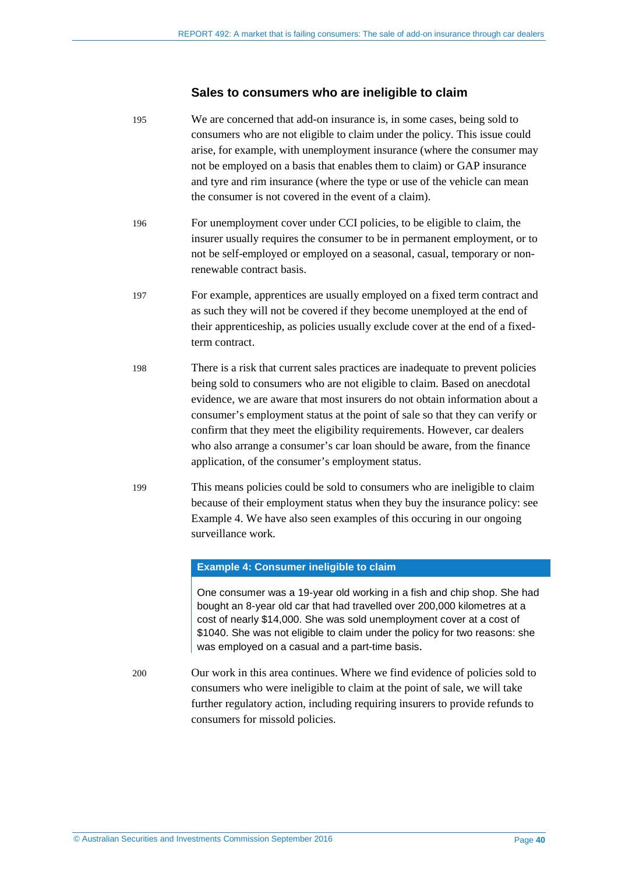#### **Sales to consumers who are ineligible to claim**

195 We are concerned that add-on insurance is, in some cases, being sold to consumers who are not eligible to claim under the policy. This issue could arise, for example, with unemployment insurance (where the consumer may not be employed on a basis that enables them to claim) or GAP insurance and tyre and rim insurance (where the type or use of the vehicle can mean the consumer is not covered in the event of a claim). 196 For unemployment cover under CCI policies, to be eligible to claim, the insurer usually requires the consumer to be in permanent employment, or to not be self-employed or employed on a seasonal, casual, temporary or nonrenewable contract basis. 197 For example, apprentices are usually employed on a fixed term contract and as such they will not be covered if they become unemployed at the end of their apprenticeship, as policies usually exclude cover at the end of a fixedterm contract. 198 There is a risk that current sales practices are inadequate to prevent policies being sold to consumers who are not eligible to claim. Based on anecdotal evidence, we are aware that most insurers do not obtain information about a consumer's employment status at the point of sale so that they can verify or confirm that they meet the eligibility requirements. However, car dealers who also arrange a consumer's car loan should be aware, from the finance application, of the consumer's employment status. 199 This means policies could be sold to consumers who are ineligible to claim because of their employment status when they buy the insurance policy: see Example 4. We have also seen examples of this occuring in our ongoing surveillance work. **Example 4: Consumer ineligible to claim**

> One consumer was a 19-year old working in a fish and chip shop. She had bought an 8-year old car that had travelled over 200,000 kilometres at a cost of nearly \$14,000. She was sold unemployment cover at a cost of \$1040. She was not eligible to claim under the policy for two reasons: she was employed on a casual and a part-time basis.

200 Our work in this area continues. Where we find evidence of policies sold to consumers who were ineligible to claim at the point of sale, we will take further regulatory action, including requiring insurers to provide refunds to consumers for missold policies.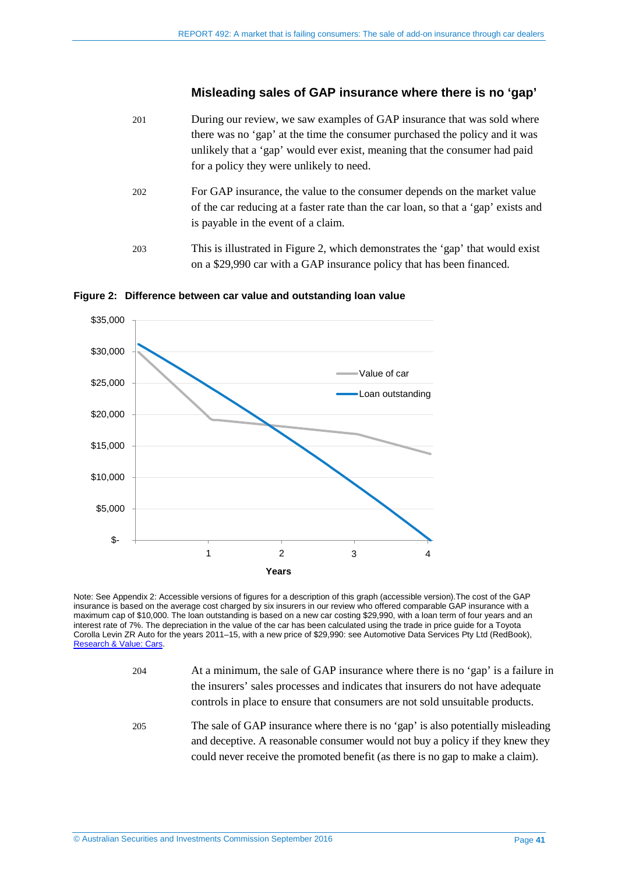#### **Misleading sales of GAP insurance where there is no 'gap'**

- 201 During our review, we saw examples of GAP insurance that was sold where there was no 'gap' at the time the consumer purchased the policy and it was unlikely that a 'gap' would ever exist, meaning that the consumer had paid for a policy they were unlikely to need.
- 202 For GAP insurance, the value to the consumer depends on the market value of the car reducing at a faster rate than the car loan, so that a 'gap' exists and is payable in the event of a claim.
- 203 This is illustrated in [Figure 2,](#page-40-0) which demonstrates the 'gap' that would exist on a \$29,990 car with a GAP insurance policy that has been financed.



<span id="page-40-0"></span>**Figure 2: Difference between car value and outstanding loan value**

Note: Se[e Appendix 2: Accessible versions of figures](#page-47-0) for a description of this graph (accessible version).The cost of the GAP insurance is based on the average cost charged by six insurers in our review who offered comparable GAP insurance with a maximum cap of \$10,000. The loan outstanding is based on a new car costing \$29,990, with a loan term of four years and an interest rate of 7%. The depreciation in the value of the car has been calculated using the trade in price guide for a Toyota Corolla Levin ZR Auto for the years 2011–15, with a new price of \$29,990: see Automotive Data Services Pty Ltd (RedBook), [Research & Value: Cars.](http://www.redbook.com.au/portal/tabID__2807404/DesktopDefault.aspx)

- 204 At a minimum, the sale of GAP insurance where there is no 'gap' is a failure in the insurers' sales processes and indicates that insurers do not have adequate controls in place to ensure that consumers are not sold unsuitable products.
- 205 The sale of GAP insurance where there is no 'gap' is also potentially misleading and deceptive. A reasonable consumer would not buy a policy if they knew they could never receive the promoted benefit (as there is no gap to make a claim).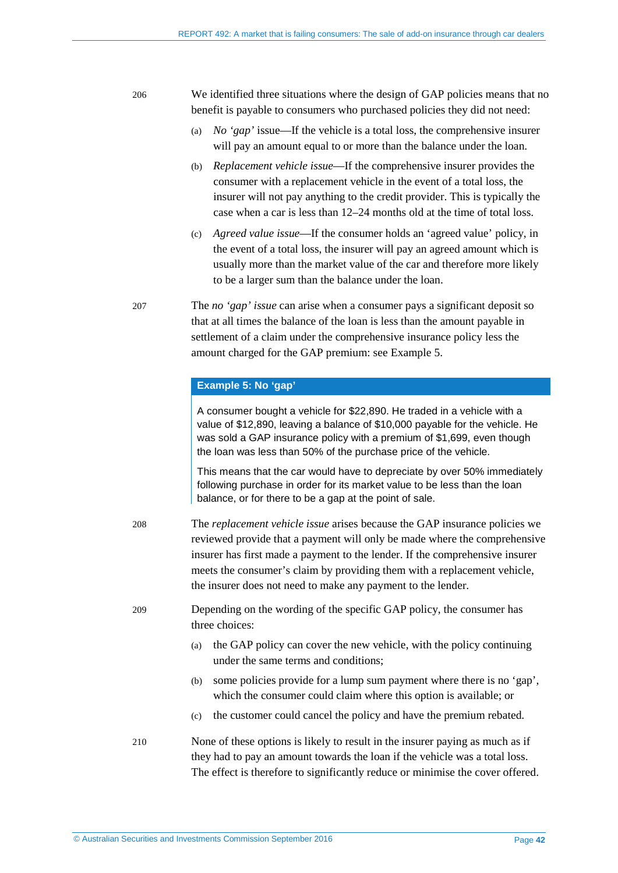206 We identified three situations where the design of GAP policies means that no benefit is payable to consumers who purchased policies they did not need:

- (a) *No 'gap'* issue—If the vehicle is a total loss, the comprehensive insurer will pay an amount equal to or more than the balance under the loan.
- (b) *Replacement vehicle issue*—If the comprehensive insurer provides the consumer with a replacement vehicle in the event of a total loss, the insurer will not pay anything to the credit provider. This is typically the case when a car is less than 12–24 months old at the time of total loss.
- (c) *Agreed value issue*—If the consumer holds an 'agreed value' policy, in the event of a total loss, the insurer will pay an agreed amount which is usually more than the market value of the car and therefore more likely to be a larger sum than the balance under the loan.

207 The *no 'gap' issue* can arise when a consumer pays a significant deposit so that at all times the balance of the loan is less than the amount payable in settlement of a claim under the comprehensive insurance policy less the amount charged for the GAP premium: see Example 5.

#### **Example 5: No 'gap'**

A consumer bought a vehicle for \$22,890. He traded in a vehicle with a value of \$12,890, leaving a balance of \$10,000 payable for the vehicle. He was sold a GAP insurance policy with a premium of \$1,699, even though the loan was less than 50% of the purchase price of the vehicle.

This means that the car would have to depreciate by over 50% immediately following purchase in order for its market value to be less than the loan balance, or for there to be a gap at the point of sale.

208 The *replacement vehicle issue* arises because the GAP insurance policies we reviewed provide that a payment will only be made where the comprehensive insurer has first made a payment to the lender. If the comprehensive insurer meets the consumer's claim by providing them with a replacement vehicle, the insurer does not need to make any payment to the lender.

209 Depending on the wording of the specific GAP policy, the consumer has three choices:

- (a) the GAP policy can cover the new vehicle, with the policy continuing under the same terms and conditions;
- (b) some policies provide for a lump sum payment where there is no 'gap', which the consumer could claim where this option is available; or
- (c) the customer could cancel the policy and have the premium rebated.
- 210 None of these options is likely to result in the insurer paying as much as if they had to pay an amount towards the loan if the vehicle was a total loss. The effect is therefore to significantly reduce or minimise the cover offered.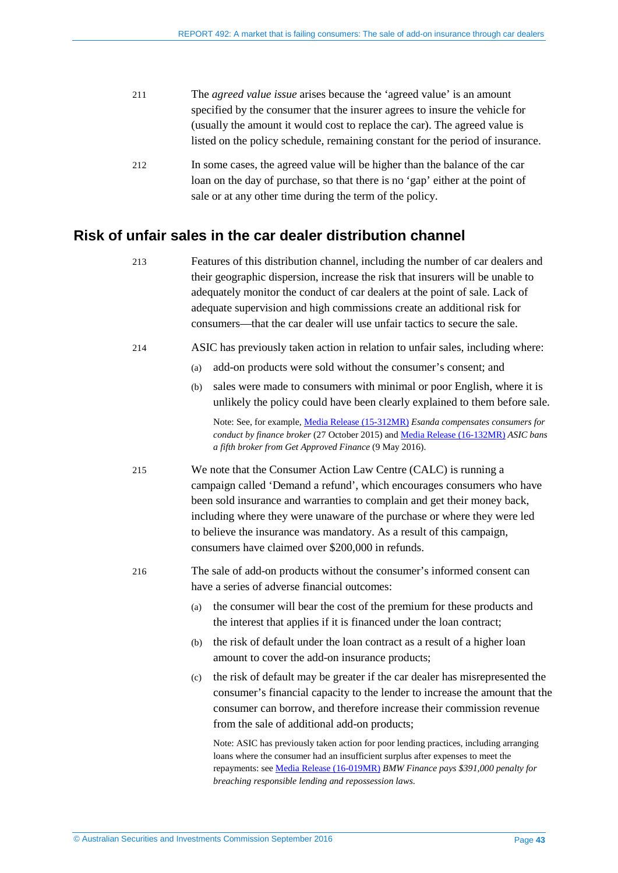| 211 | The <i>agreed value issue</i> arises because the 'agreed value' is an amount   |
|-----|--------------------------------------------------------------------------------|
|     | specified by the consumer that the insurer agrees to insure the vehicle for    |
|     | (usually the amount it would cost to replace the car). The agreed value is     |
|     | listed on the policy schedule, remaining constant for the period of insurance. |
|     |                                                                                |

212 In some cases, the agreed value will be higher than the balance of the car loan on the day of purchase, so that there is no 'gap' either at the point of sale or at any other time during the term of the policy.

#### <span id="page-42-0"></span>**Risk of unfair sales in the car dealer distribution channel**

- 213 Features of this distribution channel, including the number of car dealers and their geographic dispersion, increase the risk that insurers will be unable to adequately monitor the conduct of car dealers at the point of sale. Lack of adequate supervision and high commissions create an additional risk for consumers—that the car dealer will use unfair tactics to secure the sale.
- 214 ASIC has previously taken action in relation to unfair sales, including where:
	- (a) add-on products were sold without the consumer's consent; and
	- (b) sales were made to consumers with minimal or poor English, where it is unlikely the policy could have been clearly explained to them before sale.

Note: See, for example, [Media Release \(15-312MR\)](http://asic.gov.au/about-asic/media-centre/find-a-media-release/2015-releases/15-312mr-esanda-compensates-consumers-for-conduct-by-finance-broker/) *Esanda compensates consumers for conduct by finance broker* (27 October 2015) and [Media Release \(16-132MR\)](http://asic.gov.au/about-asic/media-centre/find-a-media-release/2016-releases/16-132mr-asic-bans-a-fifth-broker-from-get-approved-finance/) *ASIC bans a fifth broker from Get Approved Finance* (9 May 2016).

- 215 We note that the Consumer Action Law Centre (CALC) is running a campaign called ['Demand a refund',](http://demandarefund.consumeraction.org.au/) which encourages consumers who have been sold insurance and warranties to complain and get their money back, including where they were unaware of the purchase or where they were led to believe the insurance was mandatory. As a result of this campaign, consumers have claimed over \$200,000 in refunds.
- 216 The sale of add-on products without the consumer's informed consent can have a series of adverse financial outcomes:
	- (a) the consumer will bear the cost of the premium for these products and the interest that applies if it is financed under the loan contract;
	- (b) the risk of default under the loan contract as a result of a higher loan amount to cover the add-on insurance products;
	- (c) the risk of default may be greater if the car dealer has misrepresented the consumer's financial capacity to the lender to increase the amount that the consumer can borrow, and therefore increase their commission revenue from the sale of additional add-on products;

Note: ASIC has previously taken action for poor lending practices, including arranging loans where the consumer had an insufficient surplus after expenses to meet the repayments: se[e Media Release \(16-019MR\)](http://asic.gov.au/about-asic/media-centre/find-a-media-release/2016-releases/16-019mr-bmw-finance-pays-391-000-penalty-for-breaching-responsible-lending-and-repossession-laws/) *BMW Finance pays \$391,000 penalty for breaching responsible lending and repossession laws*.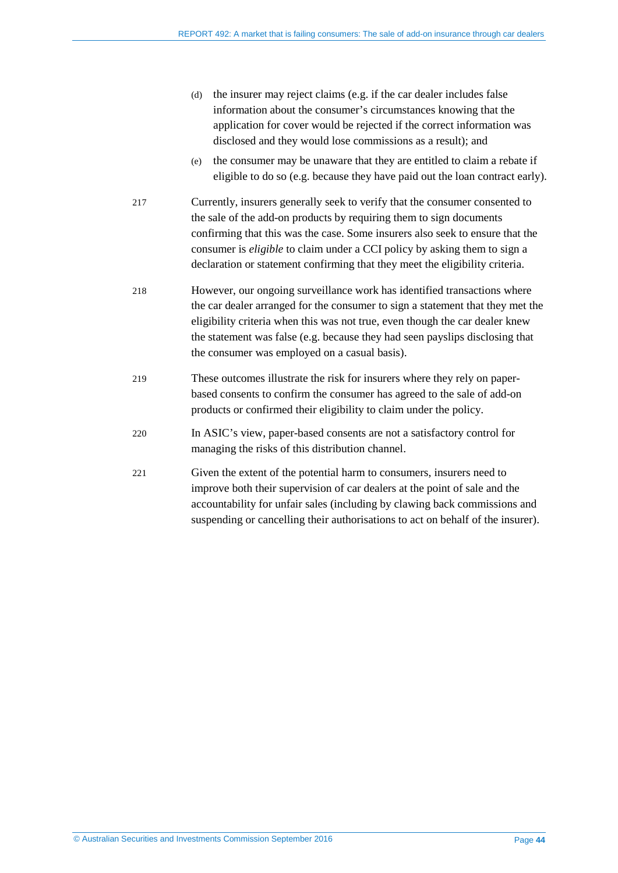- (d) the insurer may reject claims (e.g. if the car dealer includes false information about the consumer's circumstances knowing that the application for cover would be rejected if the correct information was disclosed and they would lose commissions as a result); and
- (e) the consumer may be unaware that they are entitled to claim a rebate if eligible to do so (e.g. because they have paid out the loan contract early).
- 217 Currently, insurers generally seek to verify that the consumer consented to the sale of the add-on products by requiring them to sign documents confirming that this was the case. Some insurers also seek to ensure that the consumer is *eligible* to claim under a CCI policy by asking them to sign a declaration or statement confirming that they meet the eligibility criteria.
- 218 However, our ongoing surveillance work has identified transactions where the car dealer arranged for the consumer to sign a statement that they met the eligibility criteria when this was not true, even though the car dealer knew the statement was false (e.g. because they had seen payslips disclosing that the consumer was employed on a casual basis).
- 219 These outcomes illustrate the risk for insurers where they rely on paperbased consents to confirm the consumer has agreed to the sale of add-on products or confirmed their eligibility to claim under the policy.
- 220 In ASIC's view, paper-based consents are not a satisfactory control for managing the risks of this distribution channel.
- 221 Given the extent of the potential harm to consumers, insurers need to improve both their supervision of car dealers at the point of sale and the accountability for unfair sales (including by clawing back commissions and suspending or cancelling their authorisations to act on behalf of the insurer).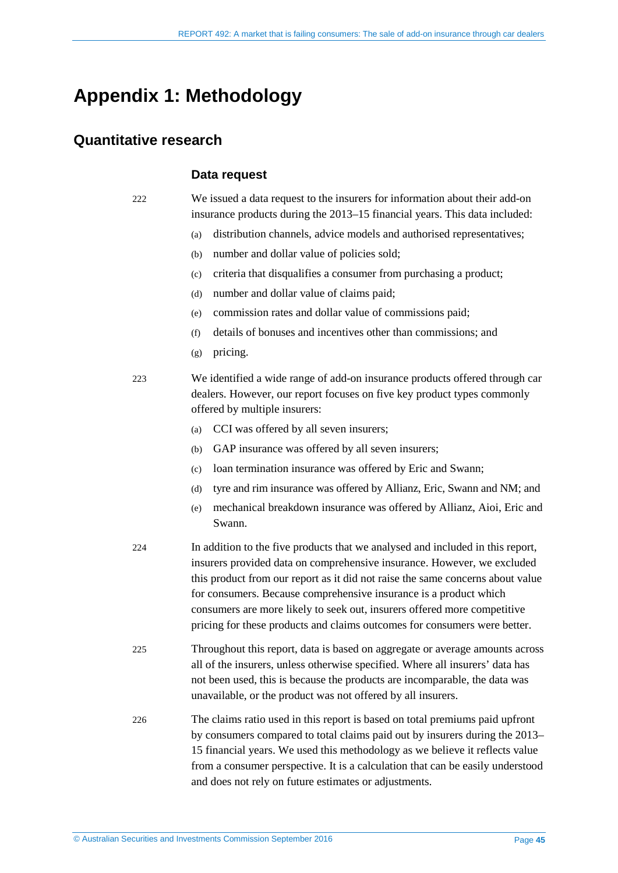## <span id="page-44-0"></span>**Appendix 1: Methodology**

#### <span id="page-44-1"></span>**Quantitative research**

#### **Data request**

222 We issued a data request to the insurers for information about their add-on insurance products during the 2013–15 financial years. This data included:

- (a) distribution channels, advice models and authorised representatives;
- (b) number and dollar value of policies sold;
- (c) criteria that disqualifies a consumer from purchasing a product;
- (d) number and dollar value of claims paid;
- (e) commission rates and dollar value of commissions paid;
- (f) details of bonuses and incentives other than commissions; and
- (g) pricing.
- 223 We identified a wide range of add-on insurance products offered through car dealers. However, our report focuses on five key product types commonly offered by multiple insurers:
	- (a) CCI was offered by all seven insurers;
	- (b) GAP insurance was offered by all seven insurers;
	- (c) loan termination insurance was offered by Eric and Swann;
	- (d) tyre and rim insurance was offered by Allianz, Eric, Swann and NM; and
	- (e) mechanical breakdown insurance was offered by Allianz, Aioi, Eric and Swann.
- 224 In addition to the five products that we analysed and included in this report, insurers provided data on comprehensive insurance. However, we excluded this product from our report as it did not raise the same concerns about value for consumers. Because comprehensive insurance is a product which consumers are more likely to seek out, insurers offered more competitive pricing for these products and claims outcomes for consumers were better.
- 225 Throughout this report, data is based on aggregate or average amounts across all of the insurers, unless otherwise specified. Where all insurers' data has not been used, this is because the products are incomparable, the data was unavailable, or the product was not offered by all insurers.
- 226 The claims ratio used in this report is based on total premiums paid upfront by consumers compared to total claims paid out by insurers during the 2013– 15 financial years. We used this methodology as we believe it reflects value from a consumer perspective. It is a calculation that can be easily understood and does not rely on future estimates or adjustments.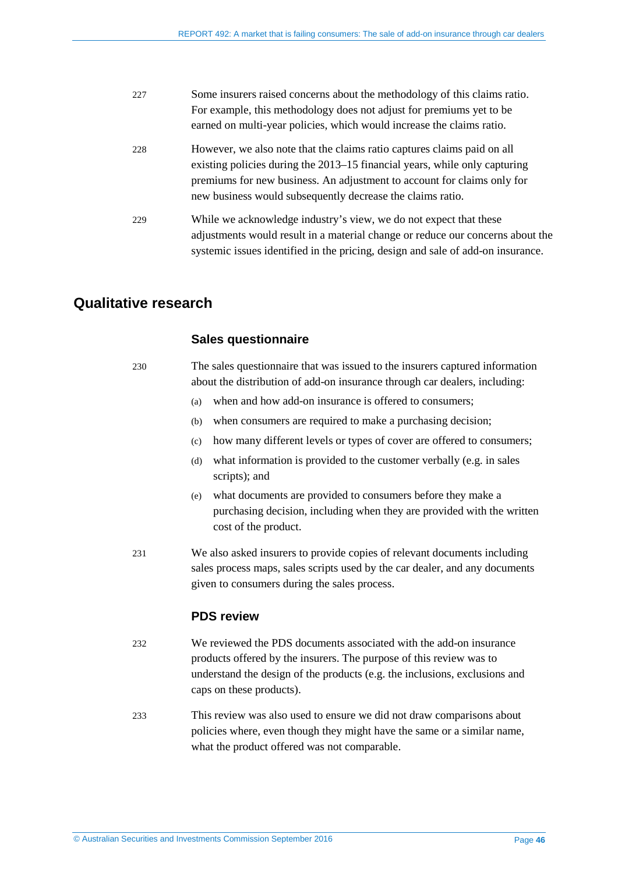| 227 | Some insurers raised concerns about the methodology of this claims ratio.       |
|-----|---------------------------------------------------------------------------------|
|     | For example, this methodology does not adjust for premiums yet to be            |
|     | earned on multi-year policies, which would increase the claims ratio.           |
| 228 | However, we also note that the claims ratio captures claims paid on all         |
|     | existing policies during the 2013–15 financial years, while only capturing      |
|     | premiums for new business. An adjustment to account for claims only for         |
|     | new business would subsequently decrease the claims ratio.                      |
| 229 | While we acknowledge industry's view, we do not expect that these               |
|     | adjustments would result in a material change or reduce our concerns about the  |
|     | systemic issues identified in the pricing, design and sale of add-on insurance. |

#### <span id="page-45-0"></span>**Qualitative research**

#### **Sales questionnaire**

230 The sales questionnaire that was issued to the insurers captured information about the distribution of add-on insurance through car dealers, including:

- (a) when and how add-on insurance is offered to consumers;
- (b) when consumers are required to make a purchasing decision;
- (c) how many different levels or types of cover are offered to consumers;
- (d) what information is provided to the customer verbally (e.g. in sales scripts); and
- (e) what documents are provided to consumers before they make a purchasing decision, including when they are provided with the written cost of the product.
- 231 We also asked insurers to provide copies of relevant documents including sales process maps, sales scripts used by the car dealer, and any documents given to consumers during the sales process.

#### **PDS review**

- 232 We reviewed the PDS documents associated with the add-on insurance products offered by the insurers. The purpose of this review was to understand the design of the products (e.g. the inclusions, exclusions and caps on these products).
- 233 This review was also used to ensure we did not draw comparisons about policies where, even though they might have the same or a similar name, what the product offered was not comparable.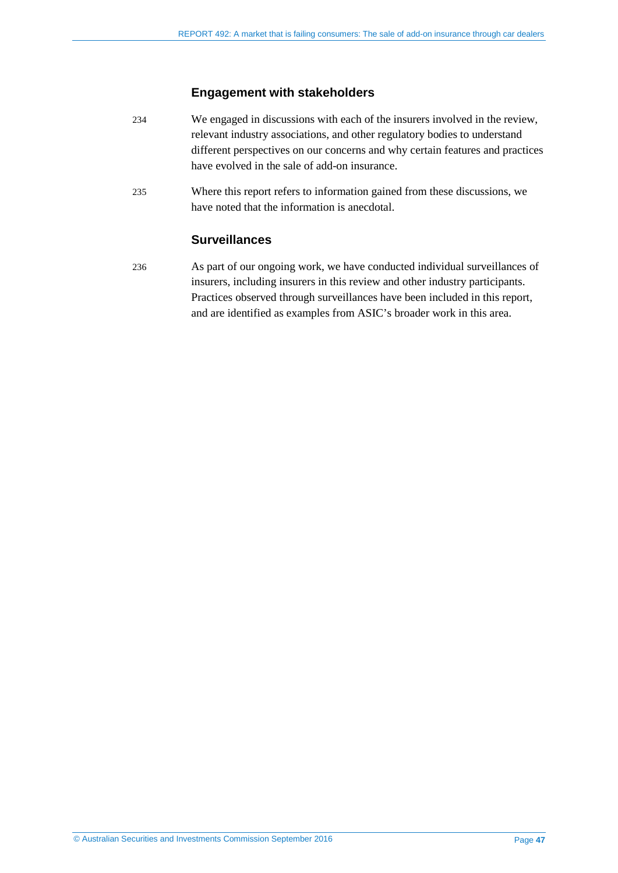#### **Engagement with stakeholders**

- 234 We engaged in discussions with each of the insurers involved in the review, relevant industry associations, and other regulatory bodies to understand different perspectives on our concerns and why certain features and practices have evolved in the sale of add-on insurance.
- 235 Where this report refers to information gained from these discussions, we have noted that the information is anecdotal.

#### **Surveillances**

236 As part of our ongoing work, we have conducted individual surveillances of insurers, including insurers in this review and other industry participants. Practices observed through surveillances have been included in this report, and are identified as examples from ASIC's broader work in this area.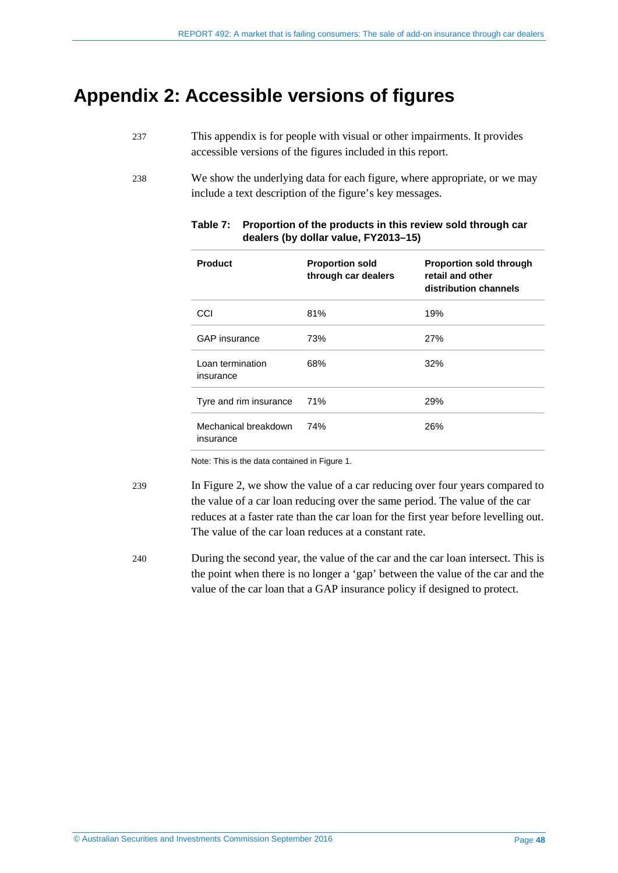## <span id="page-47-0"></span>**Appendix 2: Accessible versions of figures**

- 237 This appendix is for people with visual or other impairments. It provides accessible versions of the figures included in this report.
- <span id="page-47-1"></span>238 We show the underlying data for each figure, where appropriate, or we may include a text description of the figure's key messages.

| <b>Product</b>                    | <b>Proportion sold</b><br>through car dealers | <b>Proportion sold through</b><br>retail and other<br>distribution channels |
|-----------------------------------|-----------------------------------------------|-----------------------------------------------------------------------------|
| CCI                               | 81%                                           | 19%                                                                         |
| <b>GAP</b> insurance              | 73%                                           | <b>27%</b>                                                                  |
| Loan termination<br>insurance     | 68%                                           | 32%                                                                         |
| Tyre and rim insurance            | 71%                                           | 29%                                                                         |
| Mechanical breakdown<br>insurance | 74%                                           | 26%                                                                         |

#### **Table 7: Proportion of the products in this review sold through car dealers (by dollar value, FY2013–15)**

Note: This is the data contained i[n Figure 1.](#page-12-0)

239 In [Figure 2,](#page-40-0) we show the value of a car reducing over four years compared to the value of a car loan reducing over the same period. The value of the car reduces at a faster rate than the car loan for the first year before levelling out. The value of the car loan reduces at a constant rate.

240 During the second year, the value of the car and the car loan intersect. This is the point when there is no longer a 'gap' between the value of the car and the value of the car loan that a GAP insurance policy if designed to protect.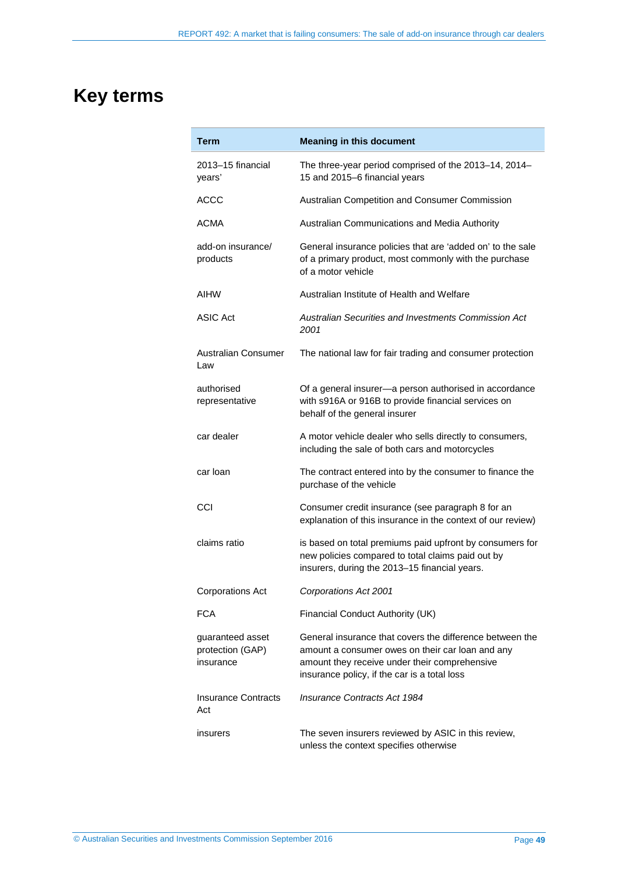# <span id="page-48-0"></span>**Key terms**

| Term                                              | <b>Meaning in this document</b>                                                                                                                                                                               |
|---------------------------------------------------|---------------------------------------------------------------------------------------------------------------------------------------------------------------------------------------------------------------|
| 2013–15 financial<br>years'                       | The three-year period comprised of the 2013-14, 2014-<br>15 and 2015-6 financial years                                                                                                                        |
| <b>ACCC</b>                                       | Australian Competition and Consumer Commission                                                                                                                                                                |
| ACMA                                              | Australian Communications and Media Authority                                                                                                                                                                 |
| add-on insurance/<br>products                     | General insurance policies that are 'added on' to the sale<br>of a primary product, most commonly with the purchase<br>of a motor vehicle                                                                     |
| <b>AIHW</b>                                       | Australian Institute of Health and Welfare                                                                                                                                                                    |
| <b>ASIC Act</b>                                   | Australian Securities and Investments Commission Act<br>2001                                                                                                                                                  |
| Australian Consumer<br>Law                        | The national law for fair trading and consumer protection                                                                                                                                                     |
| authorised<br>representative                      | Of a general insurer-a person authorised in accordance<br>with s916A or 916B to provide financial services on<br>behalf of the general insurer                                                                |
| car dealer                                        | A motor vehicle dealer who sells directly to consumers,<br>including the sale of both cars and motorcycles                                                                                                    |
| car loan                                          | The contract entered into by the consumer to finance the<br>purchase of the vehicle                                                                                                                           |
| CCI                                               | Consumer credit insurance (see paragraph 8 for an<br>explanation of this insurance in the context of our review)                                                                                              |
| claims ratio                                      | is based on total premiums paid upfront by consumers for<br>new policies compared to total claims paid out by<br>insurers, during the 2013-15 financial years.                                                |
| <b>Corporations Act</b>                           | Corporations Act 2001                                                                                                                                                                                         |
| <b>FCA</b>                                        | Financial Conduct Authority (UK)                                                                                                                                                                              |
| guaranteed asset<br>protection (GAP)<br>insurance | General insurance that covers the difference between the<br>amount a consumer owes on their car loan and any<br>amount they receive under their comprehensive<br>insurance policy, if the car is a total loss |
| <b>Insurance Contracts</b><br>Act                 | <b>Insurance Contracts Act 1984</b>                                                                                                                                                                           |
| insurers                                          | The seven insurers reviewed by ASIC in this review,<br>unless the context specifies otherwise                                                                                                                 |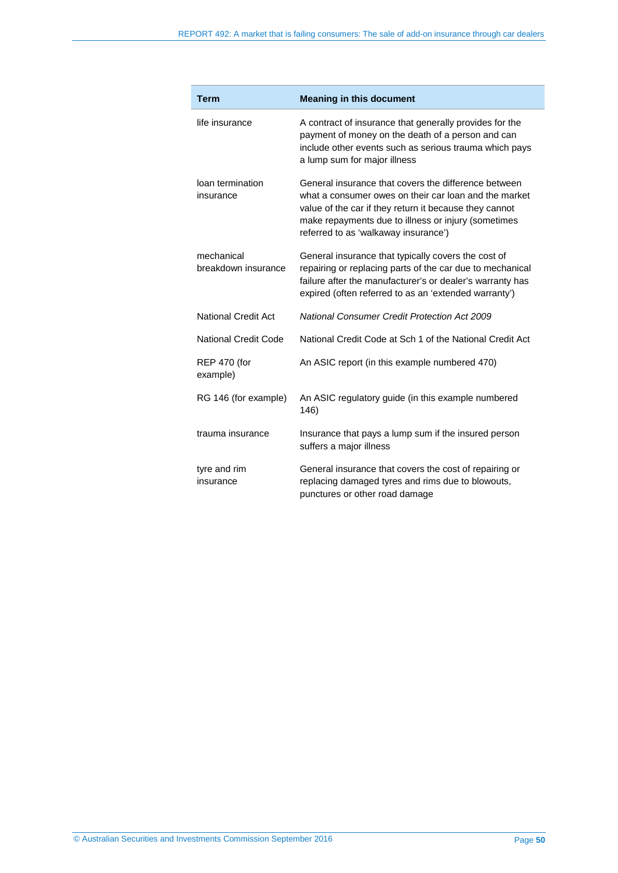| <b>Term</b>                       | <b>Meaning in this document</b>                                                                                                                                                                                                                                        |
|-----------------------------------|------------------------------------------------------------------------------------------------------------------------------------------------------------------------------------------------------------------------------------------------------------------------|
| life insurance                    | A contract of insurance that generally provides for the<br>payment of money on the death of a person and can<br>include other events such as serious trauma which pays<br>a lump sum for major illness                                                                 |
| loan termination<br>insurance     | General insurance that covers the difference between<br>what a consumer owes on their car loan and the market<br>value of the car if they return it because they cannot<br>make repayments due to illness or injury (sometimes<br>referred to as 'walkaway insurance') |
| mechanical<br>breakdown insurance | General insurance that typically covers the cost of<br>repairing or replacing parts of the car due to mechanical<br>failure after the manufacturer's or dealer's warranty has<br>expired (often referred to as an 'extended warranty')                                 |
| <b>National Credit Act</b>        | <b>National Consumer Credit Protection Act 2009</b>                                                                                                                                                                                                                    |
| National Credit Code              | National Credit Code at Sch 1 of the National Credit Act                                                                                                                                                                                                               |
| <b>REP 470 (for</b><br>example)   | An ASIC report (in this example numbered 470)                                                                                                                                                                                                                          |
| RG 146 (for example)              | An ASIC regulatory guide (in this example numbered<br>146)                                                                                                                                                                                                             |
| trauma insurance                  | Insurance that pays a lump sum if the insured person<br>suffers a major illness                                                                                                                                                                                        |
| tyre and rim<br>insurance         | General insurance that covers the cost of repairing or<br>replacing damaged tyres and rims due to blowouts,<br>punctures or other road damage                                                                                                                          |